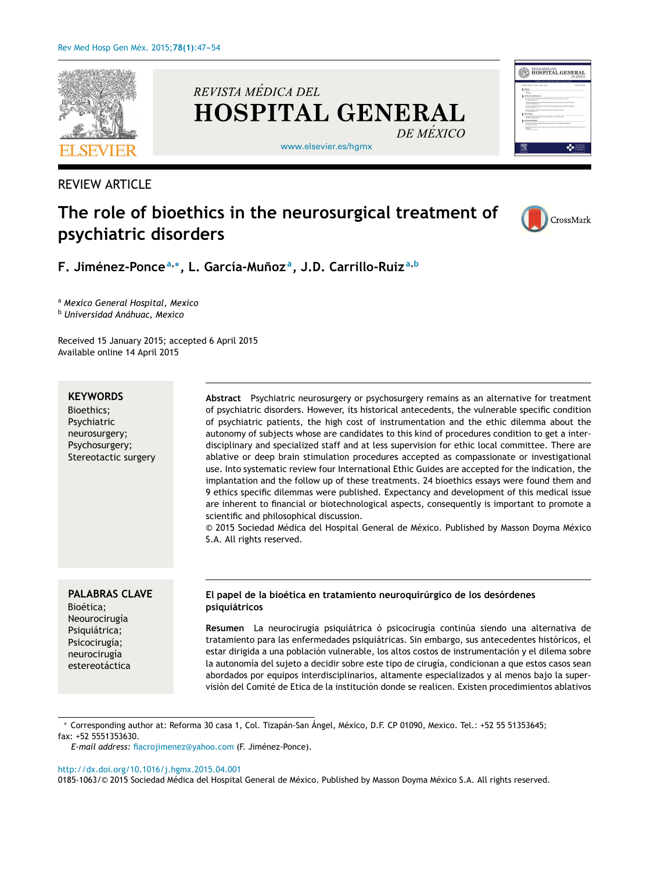

REVIEW ARTICLE

# **The role of bioethics in the neurosurgical treatment of psychiatric disorders**



**F. Jiménez-Ponce<sup>a</sup>**,<sup>∗</sup> **, L. García-Munoz ˜ a , J.D. Carrillo-Ruiz <sup>a</sup>**,**<sup>b</sup>**

<sup>a</sup> *Mexico General Hospital, Mexico* <sup>b</sup> *Universidad Anáhuac, Mexico*

Received 15 January 2015; accepted 6 April 2015 Available online 14 April 2015

#### **KEYWORDS**

Bioethics; Psychiatric neurosurgery; Psychosurgery; Stereotactic surgery **Abstract** Psychiatric neurosurgery or psychosurgery remains as an alternative for treatment of psychiatric disorders. However, its historical antecedents, the vulnerable specific condition of psychiatric patients, the high cost of instrumentation and the ethic dilemma about the autonomy of subjects whose are candidates to this kind of procedures condition to get a interdisciplinary and specialized staff and at less supervision for ethic local committee. There are ablative or deep brain stimulation procedures accepted as compassionate or investigational use. Into systematic review four International Ethic Guides are accepted for the indication, the implantation and the follow up of these treatments. 24 bioethics essays were found them and 9 ethics specific dilemmas were published. Expectancy and development of this medical issue are inherent to financial or biotechnological aspects, consequently is important to promote a scientific and philosophical discussion.

© 2015 Sociedad Médica del Hospital General de México. Published by Masson Doyma México S.A. All rights reserved.

# **PALABRAS CLAVE** Bioética;

Neourocirugía Psiquiátrica; Psicocirugía; neurocirugía estereotáctica

# **El papel de la bioética en tratamiento neuroquirúrgico de los desórdenes psiquiátricos**

**Resumen** La neurocirugía psiquiátrica ó psicocirugía continúa siendo una alternativa de tratamiento para las enfermedades psiquiátricas. Sin embargo, sus antecedentes históricos, el estar dirigida a una población vulnerable, los altos costos de instrumentación y el dilema sobre la autonomía del sujeto a decidir sobre este tipo de cirugía, condicionan a que estos casos sean abordados por equipos interdisciplinarios, altamente especializados y al menos bajo la supervisión del Comité de Etica de la institución donde se realicen. Existen procedimientos ablativos

<sup>∗</sup> Corresponding author at: Reforma 30 casa 1, Col. Tizapán-San Ángel, México, D.F. CP 01090, Mexico. Tel.: +52 55 51353645; fax: +52 5551353630.

*E-mail address:* [fiacrojimenez@yahoo.com](mailto:fiacrojimenez@yahoo.com) (F. Jiménez-Ponce).

[http://dx.doi.org/10.1016/j.hgmx.2015.04.001](dx.doi.org/10.1016/j.hgmx.2015.04.001)

0185-1063/© 2015 Sociedad Médica del Hospital General de México. Published by Masson Doyma México S.A. All rights reserved.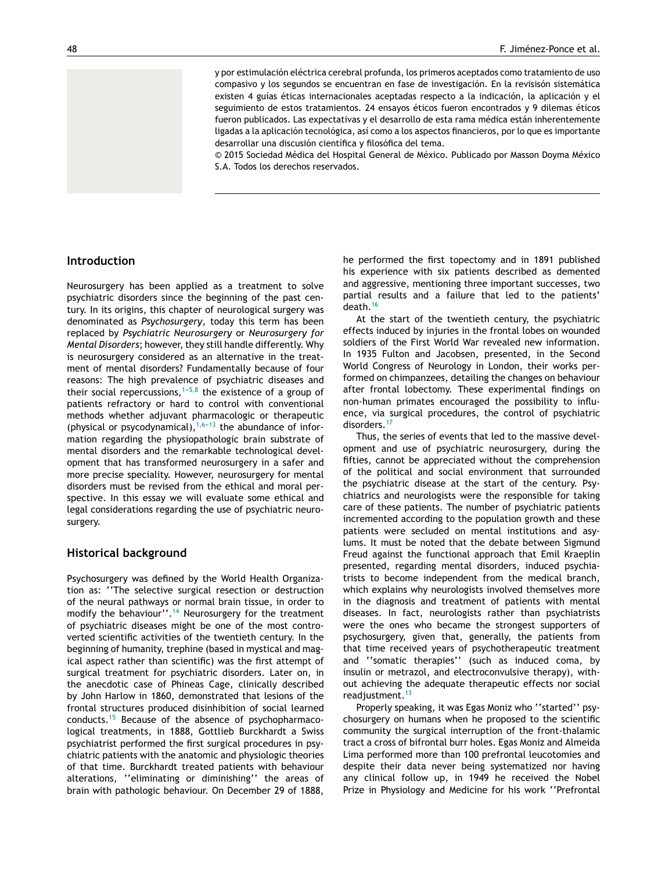y por estimulación eléctrica cerebral profunda, los primeros aceptados como tratamiento de uso compasivo y los segundos se encuentran en fase de investigación. En la revisisón sistemática existen 4 guías éticas internacionales aceptadas respecto a la indicación, la aplicación y el seguimiento de estos tratamientos. 24 ensayos éticos fueron encontrados y 9 dilemas éticos fueron publicados. Las expectativas y el desarrollo de esta rama médica están inherentemente ligadas a la aplicación tecnológica, así como a los aspectos financieros, por lo que es importante desarrollar una discusión científica y filosófica del tema.

© 2015 Sociedad Médica del Hospital General de México. Publicado por Masson Doyma México S.A. Todos los derechos reservados.

# **Introduction**

Neurosurgery has been applied as a treatment to solve psychiatric disorders since the beginning of the past century. In its origins, this chapter of neurological surgery was denominated as *Psychosurgery*, today this term has been replaced by *Psychiatric Neurosurgery* or *Neurosurgery for Mental Disorders*; however, they still handle differently. Why is neurosurgery considered as an alternative in the treatment of mental disorders? Fundamentally because of four reasons: The high prevalence of psychiatric diseases and their social repercussions,<sup>1-5,8</sup> the existence of a group of patients refractory or hard to control with conventional methods whether adjuvant pharmacologic or therapeutic (physical or psycodynamical), $1,6-13$  the abundance of information regarding the physiopathologic brain substrate of mental disorders and the remarkable technological development that has transformed neurosurgery in a safer and more precise speciality. However, neurosurgery for mental disorders must be revised from the ethical and moral perspective. In this essay we will evaluate some ethical and legal considerations regarding the use of psychiatric neurosurgery.

#### **Historical background**

Psychosurgery was defined by the World Health Organization as: ''The selective surgical resection or destruction of the neural pathways or normal brain tissue, in order to modify the behaviour"<sup>[14](#page-6-0)</sup> Neurosurgery for the treatment of psychiatric diseases might be one of the most controverted scientific activities of the twentieth century. In the beginning of humanity, trephine (based in mystical and magical aspect rather than scientific) was the first attempt of surgical treatment for psychiatric disorders. Later on, in the anecdotic case of Phineas Cage, clinically described by John Harlow in 1860, demonstrated that lesions of the frontal structures produced disinhibition of social learned conducts.[15](#page-6-0) Because of the absence of psychopharmacological treatments, in 1888, Gottlieb Burckhardt a Swiss psychiatrist performed the first surgical procedures in psychiatric patients with the anatomic and physiologic theories of that time. Burckhardt treated patients with behaviour alterations, ''eliminating or diminishing'' the areas of brain with pathologic behaviour. On December 29 of 1888,

he performed the first topectomy and in 1891 published his experience with six patients described as demented and aggressive, mentioning three important successes, two partial results and a failure that led to the patients' death.[16](#page-6-0)

At the start of the twentieth century, the psychiatric effects induced by injuries in the frontal lobes on wounded soldiers of the First World War revealed new information. In 1935 Fulton and Jacobsen, presented, in the Second World Congress of Neurology in London, their works performed on chimpanzees, detailing the changes on behaviour after frontal lobectomy. These experimental findings on non-human primates encouraged the possibility to influence, via surgical procedures, the control of psychiatric disorders.<sup>[17](#page-6-0)</sup>

Thus, the series of events that led to the massive development and use of psychiatric neurosurgery, during the fifties, cannot be appreciated without the comprehension of the political and social environment that surrounded the psychiatric disease at the start of the century. Psychiatrics and neurologists were the responsible for taking care of these patients. The number of psychiatric patients incremented according to the population growth and these patients were secluded on mental institutions and asylums. It must be noted that the debate between Sigmund Freud against the functional approach that Emil Kraeplin presented, regarding mental disorders, induced psychiatrists to become independent from the medical branch, which explains why neurologists involved themselves more in the diagnosis and treatment of patients with mental diseases. In fact, neurologists rather than psychiatrists were the ones who became the strongest supporters of psychosurgery, given that, generally, the patients from that time received years of psychotherapeutic treatment and ''somatic therapies'' (such as induced coma, by insulin or metrazol, and electroconvulsive therapy), without achieving the adequate therapeutic effects nor social readjustment.<sup>[13](#page-6-0)</sup>

Properly speaking, it was Egas Moniz who ''started'' psychosurgery on humans when he proposed to the scientific community the surgical interruption of the front-thalamic tract a cross of bifrontal burr holes. Egas Moniz and Almeida Lima performed more than 100 prefrontal leucotomies and despite their data never being systematized nor having any clinical follow up, in 1949 he received the Nobel Prize in Physiology and Medicine for his work ''Prefrontal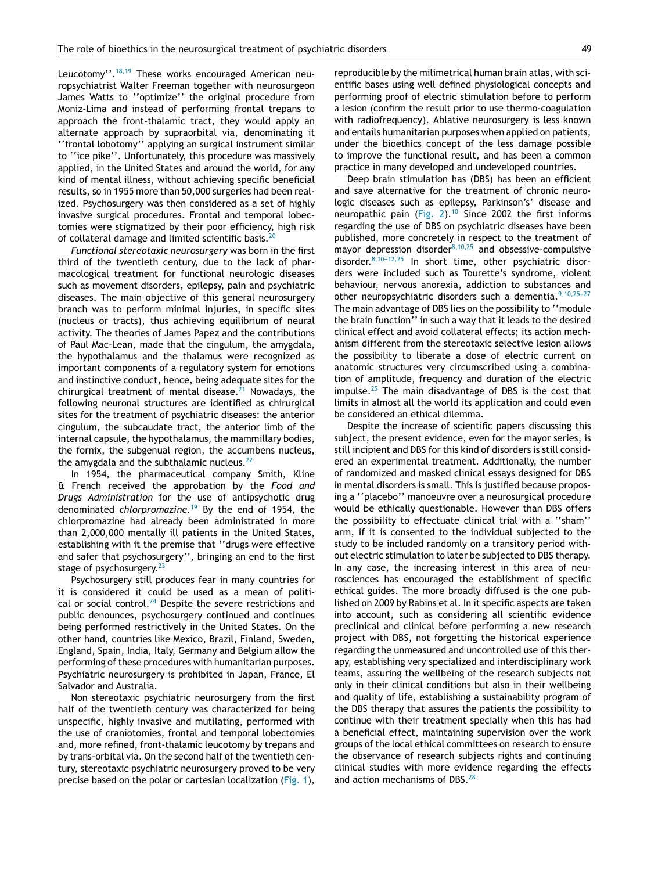Leucotomy".<sup>[18,19](#page-6-0)</sup> These works encouraged American neuropsychiatrist Walter Freeman together with neurosurgeon James Watts to ''optimize'' the original procedure from Moniz-Lima and instead of performing frontal trepans to approach the front-thalamic tract, they would apply an alternate approach by supraorbital via, denominating it ''frontal lobotomy'' applying an surgical instrument similar to ''ice pike''. Unfortunately, this procedure was massively applied, in the United States and around the world, for any kind of mental illness, without achieving specific beneficial results, so in 1955 more than 50,000 surgeries had been realized. Psychosurgery was then considered as a set of highly invasive surgical procedures. Frontal and temporal lobectomies were stigmatized by their poor efficiency, high risk of collateral damage and limited scientific basis. $20$ 

*Functional stereotaxic neurosurgery* was born in the first third of the twentieth century, due to the lack of pharmacological treatment for functional neurologic diseases such as movement disorders, epilepsy, pain and psychiatric diseases. The main objective of this general neurosurgery branch was to perform minimal injuries, in specific sites (nucleus or tracts), thus achieving equilibrium of neural activity. The theories of James Papez and the contributions of Paul Mac-Lean, made that the cingulum, the amygdala, the hypothalamus and the thalamus were recognized as important components of a regulatory system for emotions and instinctive conduct, hence, being adequate sites for the chirurgical treatment of mental disease.<sup>[21](#page-6-0)</sup> Nowadays, the following neuronal structures are identified as chirurgical sites for the treatment of psychiatric diseases: the anterior cingulum, the subcaudate tract, the anterior limb of the internal capsule, the hypothalamus, the mammillary bodies, the fornix, the subgenual region, the accumbens nucleus, the amygdala and the subthalamic nucleus.<sup>[22](#page-6-0)</sup>

In 1954, the pharmaceutical company Smith, Kline & French received the approbation by the *Food and Drugs Administration* for the use of antipsychotic drug denominated *chlorpromazine*. [19](#page-6-0) By the end of 1954, the chlorpromazine had already been administrated in more than 2,000,000 mentally ill patients in the United States, establishing with it the premise that ''drugs were effective and safer that psychosurgery'', bringing an end to the first stage of psychosurgery. $^{23}$  $^{23}$  $^{23}$ 

Psychosurgery still produces fear in many countries for it is considered it could be used as a mean of politi-cal or social control.<sup>[24](#page-6-0)</sup> Despite the severe restrictions and public denounces, psychosurgery continued and continues being performed restrictively in the United States. On the other hand, countries like Mexico, Brazil, Finland, Sweden, England, Spain, India, Italy, Germany and Belgium allow the performing of these procedures with humanitarian purposes. Psychiatric neurosurgery is prohibited in Japan, France, El Salvador and Australia.

Non stereotaxic psychiatric neurosurgery from the first half of the twentieth century was characterized for being unspecific, highly invasive and mutilating, performed with the use of craniotomies, frontal and temporal lobectomies and, more refined, front-thalamic leucotomy by trepans and by trans-orbital via. On the second half of the twentieth century, stereotaxic psychiatric neurosurgery proved to be very precise based on the polar or cartesian localization ([Fig.](#page-3-0) 1), reproducible by the milimetrical human brain atlas, with scientific bases using well defined physiological concepts and performing proof of electric stimulation before to perform a lesion (confirm the result prior to use thermo-coagulation with radiofrequency). Ablative neurosurgery is less known and entails humanitarian purposes when applied on patients, under the bioethics concept of the less damage possible to improve the functional result, and has been a common practice in many developed and undeveloped countries.

Deep brain stimulation has (DBS) has been an efficient and save alternative for the treatment of chronic neurologic diseases such as epilepsy, Parkinson's' disease and neuropathic pain ([Fig.](#page-4-0) 2).<sup>[10](#page-6-0)</sup> Since 2002 the first informs regarding the use of DBS on psychiatric diseases have been published, more concretely in respect to the treatment of mayor depression disorder $8,10,25$  and obsessive-compulsive disorder.  $8,10-12,25$  In short time, other psychiatric disorders were included such as Tourette's syndrome, violent behaviour, nervous anorexia, addiction to substances and other neuropsychiatric disorders such a dementia.  $9,10,25-27$ The main advantage of DBS lies on the possibility to ''module the brain function'' in such a way that it leads to the desired clinical effect and avoid collateral effects; its action mechanism different from the stereotaxic selective lesion allows the possibility to liberate a dose of electric current on anatomic structures very circumscribed using a combination of amplitude, frequency and duration of the electric impulse. $25$  The main disadvantage of DBS is the cost that limits in almost all the world its application and could even be considered an ethical dilemma.

Despite the increase of scientific papers discussing this subject, the present evidence, even for the mayor series, is still incipient and DBS for this kind of disorders is still considered an experimental treatment. Additionally, the number of randomized and masked clinical essays designed for DBS in mental disorders is small. This is justified because proposing a ''placebo'' manoeuvre over a neurosurgical procedure would be ethically questionable. However than DBS offers the possibility to effectuate clinical trial with a ''sham'' arm, if it is consented to the individual subjected to the study to be included randomly on a transitory period without electric stimulation to later be subjected to DBS therapy. In any case, the increasing interest in this area of neurosciences has encouraged the establishment of specific ethical guides. The more broadly diffused is the one published on 2009 by Rabins et al. In it specific aspects are taken into account, such as considering all scientific evidence preclinical and clinical before performing a new research project with DBS, not forgetting the historical experience regarding the unmeasured and uncontrolled use of this therapy, establishing very specialized and interdisciplinary work teams, assuring the wellbeing of the research subjects not only in their clinical conditions but also in their wellbeing and quality of life, establishing a sustainability program of the DBS therapy that assures the patients the possibility to continue with their treatment specially when this has had a beneficial effect, maintaining supervision over the work groups of the local ethical committees on research to ensure the observance of research subjects rights and continuing clinical studies with more evidence regarding the effects and action mechanisms of DBS.<sup>[28](#page-6-0)</sup>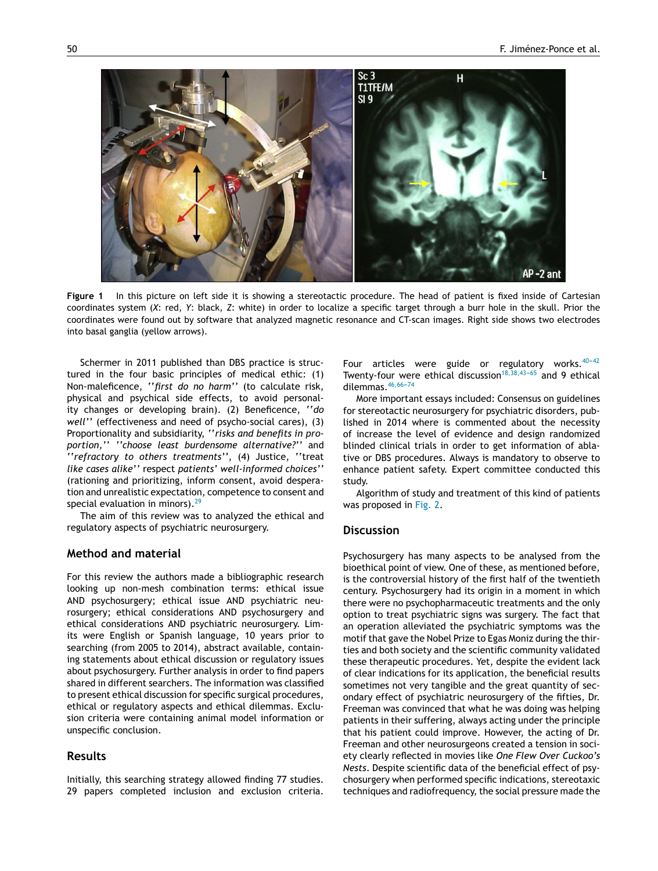<span id="page-3-0"></span>

**Figure 1** In this picture on left side it is showing a stereotactic procedure. The head of patient is fixed inside of Cartesian coordinates system (*X*: red, *Y*: black, *Z*: white) in order to localize a specific target through a burr hole in the skull. Prior the coordinates were found out by software that analyzed magnetic resonance and CT-scan images. Right side shows two electrodes into basal ganglia (yellow arrows).

Schermer in 2011 published than DBS practice is structured in the four basic principles of medical ethic: (1) Non-maleficence, ''*first do no harm''* (to calculate risk, physical and psychical side effects, to avoid personality changes or developing brain). (2) Beneficence, ''*do well''* (effectiveness and need of psycho-social cares), (3) Proportionality and subsidiarity, ''*risks and benefits in proportion,'' ''choose least burdensome alternative?''* and ''*refractory to others treatments''*, (4) Justice, ''treat *like cases alike''* respect *patients' well-informed choices''* (rationing and prioritizing, inform consent, avoid desperation and unrealistic expectation, competence to consent and special evaluation in minors). $^{29}$  $^{29}$  $^{29}$ 

The aim of this review was to analyzed the ethical and regulatory aspects of psychiatric neurosurgery.

# **Method and material**

For this review the authors made a bibliographic research looking up non-mesh combination terms: ethical issue AND psychosurgery; ethical issue AND psychiatric neurosurgery; ethical considerations AND psychosurgery and ethical considerations AND psychiatric neurosurgery. Limits were English or Spanish language, 10 years prior to searching (from 2005 to 2014), abstract available, containing statements about ethical discussion or regulatory issues about psychosurgery. Further analysis in order to find papers shared in different searchers. The information was classified to present ethical discussion for specific surgical procedures, ethical or regulatory aspects and ethical dilemmas. Exclusion criteria were containing animal model information or unspecific conclusion.

#### **Results**

Initially, this searching strategy allowed finding 77 studies. 29 papers completed inclusion and exclusion criteria. Four articles were guide or regulatory works.  $40-42$ Twenty-four were ethical discussion<sup>18,38,43-65</sup> and 9 ethical dilemmas.  $46,66-74$ 

More important essays included: Consensus on guidelines for stereotactic neurosurgery for psychiatric disorders, published in 2014 where is commented about the necessity of increase the level of evidence and design randomized blinded clinical trials in order to get information of ablative or DBS procedures. Always is mandatory to observe to enhance patient safety. Expert committee conducted this study.

Algorithm of study and treatment of this kind of patients was proposed in [Fig.](#page-4-0) 2.

#### **Discussion**

Psychosurgery has many aspects to be analysed from the bioethical point of view. One of these, as mentioned before, is the controversial history of the first half of the twentieth century. Psychosurgery had its origin in a moment in which there were no psychopharmaceutic treatments and the only option to treat psychiatric signs was surgery. The fact that an operation alleviated the psychiatric symptoms was the motif that gave the Nobel Prize to Egas Moniz during the thirties and both society and the scientific community validated these therapeutic procedures. Yet, despite the evident lack of clear indications for its application, the beneficial results sometimes not very tangible and the great quantity of secondary effect of psychiatric neurosurgery of the fifties, Dr. Freeman was convinced that what he was doing was helping patients in their suffering, always acting under the principle that his patient could improve. However, the acting of Dr. Freeman and other neurosurgeons created a tension in society clearly reflected in movies like *One Flew Over Cuckoo's Nests*. Despite scientific data of the beneficial effect of psychosurgery when performed specific indications, stereotaxic techniques and radiofrequency, the social pressure made the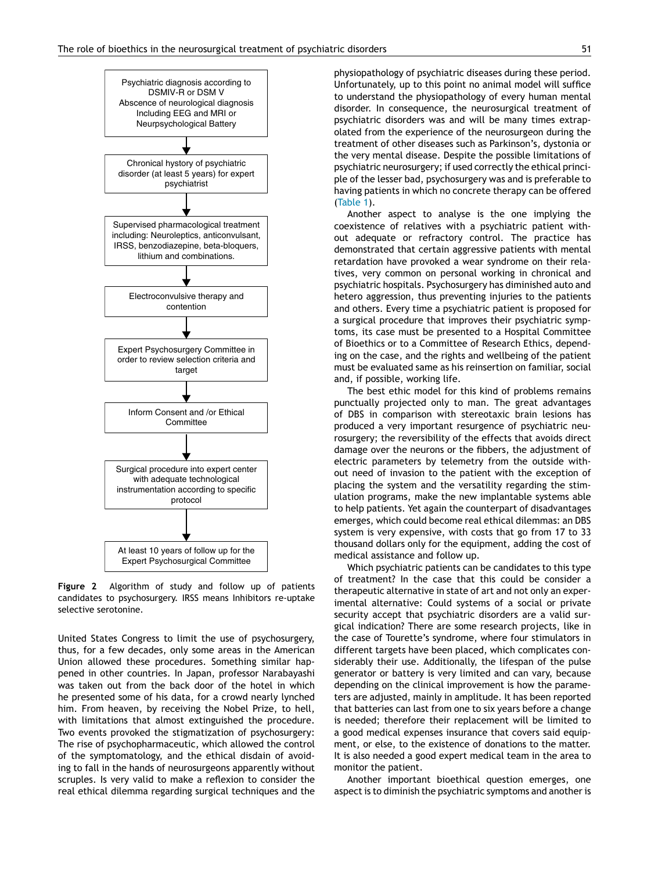<span id="page-4-0"></span>

**Figure 2** Algorithm of study and follow up of patients candidates to psychosurgery. IRSS means Inhibitors re-uptake selective serotonine.

United States Congress to limit the use of psychosurgery, thus, for a few decades, only some areas in the American Union allowed these procedures. Something similar happened in other countries. In Japan, professor Narabayashi was taken out from the back door of the hotel in which he presented some of his data, for a crowd nearly lynched him. From heaven, by receiving the Nobel Prize, to hell, with limitations that almost extinguished the procedure. Two events provoked the stigmatization of psychosurgery: The rise of psychopharmaceutic, which allowed the control of the symptomatology, and the ethical disdain of avoiding to fall in the hands of neurosurgeons apparently without scruples. Is very valid to make a reflexion to consider the real ethical dilemma regarding surgical techniques and the physiopathology of psychiatric diseases during these period. Unfortunately, up to this point no animal model will suffice to understand the physiopathology of every human mental disorder. In consequence, the neurosurgical treatment of psychiatric disorders was and will be many times extrapolated from the experience of the neurosurgeon during the treatment of other diseases such as Parkinson's, dystonia or the very mental disease. Despite the possible limitations of psychiatric neurosurgery; if used correctly the ethical principle of the lesser bad, psychosurgery was and is preferable to having patients in which no concrete therapy can be offered ([Table](#page-5-0) 1).

Another aspect to analyse is the one implying the coexistence of relatives with a psychiatric patient without adequate or refractory control. The practice has demonstrated that certain aggressive patients with mental retardation have provoked a wear syndrome on their relatives, very common on personal working in chronical and psychiatric hospitals. Psychosurgery has diminished auto and hetero aggression, thus preventing injuries to the patients and others. Every time a psychiatric patient is proposed for a surgical procedure that improves their psychiatric symptoms, its case must be presented to a Hospital Committee of Bioethics or to a Committee of Research Ethics, depending on the case, and the rights and wellbeing of the patient must be evaluated same as his reinsertion on familiar, social and, if possible, working life.

The best ethic model for this kind of problems remains punctually projected only to man. The great advantages of DBS in comparison with stereotaxic brain lesions has produced a very important resurgence of psychiatric neurosurgery; the reversibility of the effects that avoids direct damage over the neurons or the fibbers, the adjustment of electric parameters by telemetry from the outside without need of invasion to the patient with the exception of placing the system and the versatility regarding the stimulation programs, make the new implantable systems able to help patients. Yet again the counterpart of disadvantages emerges, which could become real ethical dilemmas: an DBS system is very expensive, with costs that go from 17 to 33 thousand dollars only for the equipment, adding the cost of medical assistance and follow up.

Which psychiatric patients can be candidates to this type of treatment? In the case that this could be consider a therapeutic alternative in state of art and not only an experimental alternative: Could systems of a social or private security accept that psychiatric disorders are a valid surgical indication? There are some research projects, like in the case of Tourette's syndrome, where four stimulators in different targets have been placed, which complicates considerably their use. Additionally, the lifespan of the pulse generator or battery is very limited and can vary, because depending on the clinical improvement is how the parameters are adjusted, mainly in amplitude. It has been reported that batteries can last from one to six years before a change is needed; therefore their replacement will be limited to a good medical expenses insurance that covers said equipment, or else, to the existence of donations to the matter. It is also needed a good expert medical team in the area to monitor the patient.

Another important bioethical question emerges, one aspect is to diminish the psychiatric symptoms and another is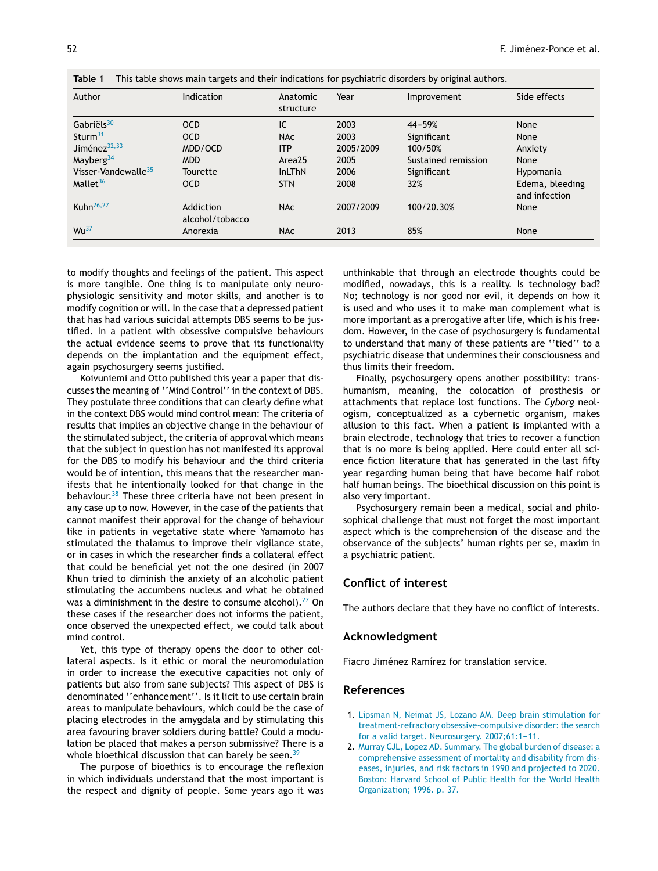| Author                          | <b>Indication</b>            | Anatomic<br>structure | Year      | Improvement         | Side effects                     |
|---------------------------------|------------------------------|-----------------------|-----------|---------------------|----------------------------------|
| Gabriëls <sup>30</sup>          | <b>OCD</b>                   | IC                    | 2003      | $44 - 59%$          | None                             |
| Sturm $31$                      | <b>OCD</b>                   | <b>NAC</b>            | 2003      | Significant         | None                             |
| Jiménez $32,33$                 | MDD/OCD                      | <b>ITP</b>            | 2005/2009 | 100/50%             | Anxiety                          |
| Mayberg <sup>34</sup>           | <b>MDD</b>                   | Area25                | 2005      | Sustained remission | None                             |
| Visser-Vandewalle <sup>35</sup> | Tourette                     | <b>InLThN</b>         | 2006      | Significant         | Hypomania                        |
| Mallet <sup>36</sup>            | <b>OCD</b>                   | <b>STN</b>            | 2008      | 32%                 | Edema, bleeding<br>and infection |
| Kuhn <sup>26,27</sup>           | Addiction<br>alcohol/tobacco | <b>NAC</b>            | 2007/2009 | 100/20.30%          | None                             |
| W <sub>U</sub> 37               | Anorexia                     | <b>NAc</b>            | 2013      | 85%                 | None                             |

<span id="page-5-0"></span>**Table 1** This table shows main targets and their indications for psychiatric disorders by original authors.

to modify thoughts and feelings of the patient. This aspect is more tangible. One thing is to manipulate only neurophysiologic sensitivity and motor skills, and another is to modify cognition or will. In the case that a depressed patient that has had various suicidal attempts DBS seems to be justified. In a patient with obsessive compulsive behaviours the actual evidence seems to prove that its functionality depends on the implantation and the equipment effect, again psychosurgery seems justified.

Koivuniemi and Otto published this year a paper that discusses the meaning of ''Mind Control'' in the context of DBS. They postulate three conditions that can clearly define what in the context DBS would mind control mean: The criteria of results that implies an objective change in the behaviour of the stimulated subject, the criteria of approval which means that the subject in question has not manifested its approval for the DBS to modify his behaviour and the third criteria would be of intention, this means that the researcher manifests that he intentionally looked for that change in the behaviour.<sup>[38](#page-6-0)</sup> These three criteria have not been present in any case up to now. However, in the case of the patients that cannot manifest their approval for the change of behaviour like in patients in vegetative state where Yamamoto has stimulated the thalamus to improve their vigilance state, or in cases in which the researcher finds a collateral effect that could be beneficial yet not the one desired (in 2007 Khun tried to diminish the anxiety of an alcoholic patient stimulating the accumbens nucleus and what he obtained was a diminishment in the desire to consume alcohol). $^{27}$  $^{27}$  $^{27}$  On these cases if the researcher does not informs the patient, once observed the unexpected effect, we could talk about mind control.

Yet, this type of therapy opens the door to other collateral aspects. Is it ethic or moral the neuromodulation in order to increase the executive capacities not only of patients but also from sane subjects? This aspect of DBS is denominated ''enhancement''. Is it licit to use certain brain areas to manipulate behaviours, which could be the case of placing electrodes in the amygdala and by stimulating this area favouring braver soldiers during battle? Could a modulation be placed that makes a person submissive? There is a whole bioethical discussion that can barely be seen.<sup>[39](#page-6-0)</sup>

The purpose of bioethics is to encourage the reflexion in which individuals understand that the most important is the respect and dignity of people. Some years ago it was unthinkable that through an electrode thoughts could be modified, nowadays, this is a reality. Is technology bad? No; technology is nor good nor evil, it depends on how it is used and who uses it to make man complement what is more important as a prerogative after life, which is his freedom. However, in the case of psychosurgery is fundamental to understand that many of these patients are ''tied'' to a psychiatric disease that undermines their consciousness and thus limits their freedom.

Finally, psychosurgery opens another possibility: transhumanism, meaning, the colocation of prosthesis or attachments that replace lost functions. The *Cyborg* neologism, conceptualized as a cybernetic organism, makes allusion to this fact. When a patient is implanted with a brain electrode, technology that tries to recover a function that is no more is being applied. Here could enter all science fiction literature that has generated in the last fifty year regarding human being that have become half robot half human beings. The bioethical discussion on this point is also very important.

Psychosurgery remain been a medical, social and philosophical challenge that must not forget the most important aspect which is the comprehension of the disease and the observance of the subjects' human rights per se, maxim in a psychiatric patient.

# **Conflict of interest**

The authors declare that they have no conflict of interests.

# **Acknowledgment**

Fiacro Jiménez Ramírez for translation service.

#### **References**

- 1. [Lipsman](http://refhub.elsevier.com/S0185-1063(15)00019-0/sbref0375) [N,](http://refhub.elsevier.com/S0185-1063(15)00019-0/sbref0375) [Neimat](http://refhub.elsevier.com/S0185-1063(15)00019-0/sbref0375) [JS,](http://refhub.elsevier.com/S0185-1063(15)00019-0/sbref0375) [Lozano](http://refhub.elsevier.com/S0185-1063(15)00019-0/sbref0375) [AM.](http://refhub.elsevier.com/S0185-1063(15)00019-0/sbref0375) [Deep](http://refhub.elsevier.com/S0185-1063(15)00019-0/sbref0375) [brain](http://refhub.elsevier.com/S0185-1063(15)00019-0/sbref0375) [stimulation](http://refhub.elsevier.com/S0185-1063(15)00019-0/sbref0375) [for](http://refhub.elsevier.com/S0185-1063(15)00019-0/sbref0375) [treatment-refractory](http://refhub.elsevier.com/S0185-1063(15)00019-0/sbref0375) [obsessive-compulsive](http://refhub.elsevier.com/S0185-1063(15)00019-0/sbref0375) disorder: the [search](http://refhub.elsevier.com/S0185-1063(15)00019-0/sbref0375) [for](http://refhub.elsevier.com/S0185-1063(15)00019-0/sbref0375) [a](http://refhub.elsevier.com/S0185-1063(15)00019-0/sbref0375) [valid](http://refhub.elsevier.com/S0185-1063(15)00019-0/sbref0375) [target.](http://refhub.elsevier.com/S0185-1063(15)00019-0/sbref0375) [Neurosurgery.](http://refhub.elsevier.com/S0185-1063(15)00019-0/sbref0375) 2007;61:1-11.
- 2. [Murray](http://refhub.elsevier.com/S0185-1063(15)00019-0/sbref0380) [CJL,](http://refhub.elsevier.com/S0185-1063(15)00019-0/sbref0380) [Lopez](http://refhub.elsevier.com/S0185-1063(15)00019-0/sbref0380) [AD.](http://refhub.elsevier.com/S0185-1063(15)00019-0/sbref0380) [Summary.](http://refhub.elsevier.com/S0185-1063(15)00019-0/sbref0380) [The](http://refhub.elsevier.com/S0185-1063(15)00019-0/sbref0380) [global](http://refhub.elsevier.com/S0185-1063(15)00019-0/sbref0380) [burden](http://refhub.elsevier.com/S0185-1063(15)00019-0/sbref0380) [of](http://refhub.elsevier.com/S0185-1063(15)00019-0/sbref0380) [disease:](http://refhub.elsevier.com/S0185-1063(15)00019-0/sbref0380) [a](http://refhub.elsevier.com/S0185-1063(15)00019-0/sbref0380) [comprehensive](http://refhub.elsevier.com/S0185-1063(15)00019-0/sbref0380) [assessment](http://refhub.elsevier.com/S0185-1063(15)00019-0/sbref0380) [of](http://refhub.elsevier.com/S0185-1063(15)00019-0/sbref0380) [mortality](http://refhub.elsevier.com/S0185-1063(15)00019-0/sbref0380) [and](http://refhub.elsevier.com/S0185-1063(15)00019-0/sbref0380) [disability](http://refhub.elsevier.com/S0185-1063(15)00019-0/sbref0380) [from](http://refhub.elsevier.com/S0185-1063(15)00019-0/sbref0380) [dis](http://refhub.elsevier.com/S0185-1063(15)00019-0/sbref0380)[eases,](http://refhub.elsevier.com/S0185-1063(15)00019-0/sbref0380) [injuries,](http://refhub.elsevier.com/S0185-1063(15)00019-0/sbref0380) [and](http://refhub.elsevier.com/S0185-1063(15)00019-0/sbref0380) [risk](http://refhub.elsevier.com/S0185-1063(15)00019-0/sbref0380) [factors](http://refhub.elsevier.com/S0185-1063(15)00019-0/sbref0380) [in](http://refhub.elsevier.com/S0185-1063(15)00019-0/sbref0380) [1990](http://refhub.elsevier.com/S0185-1063(15)00019-0/sbref0380) [and](http://refhub.elsevier.com/S0185-1063(15)00019-0/sbref0380) [projected](http://refhub.elsevier.com/S0185-1063(15)00019-0/sbref0380) [to](http://refhub.elsevier.com/S0185-1063(15)00019-0/sbref0380) [2020.](http://refhub.elsevier.com/S0185-1063(15)00019-0/sbref0380) [Boston:](http://refhub.elsevier.com/S0185-1063(15)00019-0/sbref0380) [Harvard](http://refhub.elsevier.com/S0185-1063(15)00019-0/sbref0380) [School](http://refhub.elsevier.com/S0185-1063(15)00019-0/sbref0380) [of](http://refhub.elsevier.com/S0185-1063(15)00019-0/sbref0380) [Public](http://refhub.elsevier.com/S0185-1063(15)00019-0/sbref0380) [Health](http://refhub.elsevier.com/S0185-1063(15)00019-0/sbref0380) [for](http://refhub.elsevier.com/S0185-1063(15)00019-0/sbref0380) [the](http://refhub.elsevier.com/S0185-1063(15)00019-0/sbref0380) [World](http://refhub.elsevier.com/S0185-1063(15)00019-0/sbref0380) [Health](http://refhub.elsevier.com/S0185-1063(15)00019-0/sbref0380) [Organization;](http://refhub.elsevier.com/S0185-1063(15)00019-0/sbref0380) [1996.](http://refhub.elsevier.com/S0185-1063(15)00019-0/sbref0380) [p.](http://refhub.elsevier.com/S0185-1063(15)00019-0/sbref0380) [37.](http://refhub.elsevier.com/S0185-1063(15)00019-0/sbref0380)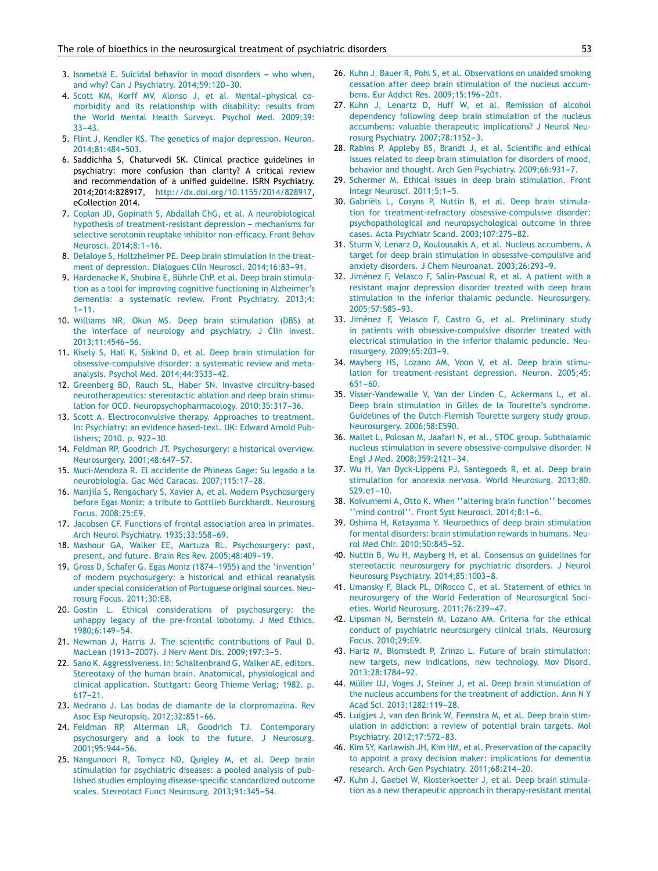- <span id="page-6-0"></span>3. [Isometsä](http://refhub.elsevier.com/S0185-1063(15)00019-0/sbref0385) [E.](http://refhub.elsevier.com/S0185-1063(15)00019-0/sbref0385) [Suicidal](http://refhub.elsevier.com/S0185-1063(15)00019-0/sbref0385) [behavior](http://refhub.elsevier.com/S0185-1063(15)00019-0/sbref0385) [in](http://refhub.elsevier.com/S0185-1063(15)00019-0/sbref0385) [mood](http://refhub.elsevier.com/S0185-1063(15)00019-0/sbref0385) [disorders](http://refhub.elsevier.com/S0185-1063(15)00019-0/sbref0385) - [who](http://refhub.elsevier.com/S0185-1063(15)00019-0/sbref0385) [when,](http://refhub.elsevier.com/S0185-1063(15)00019-0/sbref0385) [and](http://refhub.elsevier.com/S0185-1063(15)00019-0/sbref0385) [why?](http://refhub.elsevier.com/S0185-1063(15)00019-0/sbref0385) [Can](http://refhub.elsevier.com/S0185-1063(15)00019-0/sbref0385) [J](http://refhub.elsevier.com/S0185-1063(15)00019-0/sbref0385) [Psychiatry.](http://refhub.elsevier.com/S0185-1063(15)00019-0/sbref0385) 2014;59:120-30.
- 4. [Scott](http://refhub.elsevier.com/S0185-1063(15)00019-0/sbref0390) [KM,](http://refhub.elsevier.com/S0185-1063(15)00019-0/sbref0390) [Korff](http://refhub.elsevier.com/S0185-1063(15)00019-0/sbref0390) [MV,](http://refhub.elsevier.com/S0185-1063(15)00019-0/sbref0390) [Alonso](http://refhub.elsevier.com/S0185-1063(15)00019-0/sbref0390) [J,](http://refhub.elsevier.com/S0185-1063(15)00019-0/sbref0390) [et](http://refhub.elsevier.com/S0185-1063(15)00019-0/sbref0390) [al.](http://refhub.elsevier.com/S0185-1063(15)00019-0/sbref0390) Mental-physical [co](http://refhub.elsevier.com/S0185-1063(15)00019-0/sbref0390)[morbidity](http://refhub.elsevier.com/S0185-1063(15)00019-0/sbref0390) [and](http://refhub.elsevier.com/S0185-1063(15)00019-0/sbref0390) [its](http://refhub.elsevier.com/S0185-1063(15)00019-0/sbref0390) [relationship](http://refhub.elsevier.com/S0185-1063(15)00019-0/sbref0390) [with](http://refhub.elsevier.com/S0185-1063(15)00019-0/sbref0390) [disability:](http://refhub.elsevier.com/S0185-1063(15)00019-0/sbref0390) [results](http://refhub.elsevier.com/S0185-1063(15)00019-0/sbref0390) [from](http://refhub.elsevier.com/S0185-1063(15)00019-0/sbref0390) [the](http://refhub.elsevier.com/S0185-1063(15)00019-0/sbref0390) [World](http://refhub.elsevier.com/S0185-1063(15)00019-0/sbref0390) [Mental](http://refhub.elsevier.com/S0185-1063(15)00019-0/sbref0390) [Health](http://refhub.elsevier.com/S0185-1063(15)00019-0/sbref0390) [Surveys.](http://refhub.elsevier.com/S0185-1063(15)00019-0/sbref0390) [Psychol](http://refhub.elsevier.com/S0185-1063(15)00019-0/sbref0390) [Med.](http://refhub.elsevier.com/S0185-1063(15)00019-0/sbref0390) [2009;39:](http://refhub.elsevier.com/S0185-1063(15)00019-0/sbref0390)  $33 - 43$
- 5. [Flint](http://refhub.elsevier.com/S0185-1063(15)00019-0/sbref0395) [J,](http://refhub.elsevier.com/S0185-1063(15)00019-0/sbref0395) [Kendler](http://refhub.elsevier.com/S0185-1063(15)00019-0/sbref0395) [KS.](http://refhub.elsevier.com/S0185-1063(15)00019-0/sbref0395) [The](http://refhub.elsevier.com/S0185-1063(15)00019-0/sbref0395) [genetics](http://refhub.elsevier.com/S0185-1063(15)00019-0/sbref0395) [of](http://refhub.elsevier.com/S0185-1063(15)00019-0/sbref0395) [major](http://refhub.elsevier.com/S0185-1063(15)00019-0/sbref0395) [depression.](http://refhub.elsevier.com/S0185-1063(15)00019-0/sbref0395) [Neuron.](http://refhub.elsevier.com/S0185-1063(15)00019-0/sbref0395) 2014;81:484-503.
- 6. Saddichha S, Chaturvedi SK. Clinical practice guidelines in psychiatry: more confusion than clarity? A critical review and recommendation of a unified guideline. ISRN Psychiatry. 2014;2014:828917, [http://dx.doi.org/10.1155/2014/828917,](dx.doi.org/10.1155/2014/828917) eCollection 2014.
- 7. [Coplan](http://refhub.elsevier.com/S0185-1063(15)00019-0/sbref0405) [JD,](http://refhub.elsevier.com/S0185-1063(15)00019-0/sbref0405) [Gopinath](http://refhub.elsevier.com/S0185-1063(15)00019-0/sbref0405) [S,](http://refhub.elsevier.com/S0185-1063(15)00019-0/sbref0405) [Abdallah](http://refhub.elsevier.com/S0185-1063(15)00019-0/sbref0405) [ChG,](http://refhub.elsevier.com/S0185-1063(15)00019-0/sbref0405) [et](http://refhub.elsevier.com/S0185-1063(15)00019-0/sbref0405) [al.](http://refhub.elsevier.com/S0185-1063(15)00019-0/sbref0405) [A](http://refhub.elsevier.com/S0185-1063(15)00019-0/sbref0405) [neurobiological](http://refhub.elsevier.com/S0185-1063(15)00019-0/sbref0405) [hypothesis](http://refhub.elsevier.com/S0185-1063(15)00019-0/sbref0405) [of](http://refhub.elsevier.com/S0185-1063(15)00019-0/sbref0405) [treatment-resistant](http://refhub.elsevier.com/S0185-1063(15)00019-0/sbref0405) [depression](http://refhub.elsevier.com/S0185-1063(15)00019-0/sbref0405) - [mechanisms](http://refhub.elsevier.com/S0185-1063(15)00019-0/sbref0405) [for](http://refhub.elsevier.com/S0185-1063(15)00019-0/sbref0405) [selective](http://refhub.elsevier.com/S0185-1063(15)00019-0/sbref0405) [serotonin](http://refhub.elsevier.com/S0185-1063(15)00019-0/sbref0405) [reuptake](http://refhub.elsevier.com/S0185-1063(15)00019-0/sbref0405) [inhibitor](http://refhub.elsevier.com/S0185-1063(15)00019-0/sbref0405) [non-efficacy.](http://refhub.elsevier.com/S0185-1063(15)00019-0/sbref0405) [Front](http://refhub.elsevier.com/S0185-1063(15)00019-0/sbref0405) [Behav](http://refhub.elsevier.com/S0185-1063(15)00019-0/sbref0405) [Neurosci.](http://refhub.elsevier.com/S0185-1063(15)00019-0/sbref0405) [2014;8:1](http://refhub.elsevier.com/S0185-1063(15)00019-0/sbref0405)-[16.](http://refhub.elsevier.com/S0185-1063(15)00019-0/sbref0405)
- 8. [Delaloye](http://refhub.elsevier.com/S0185-1063(15)00019-0/sbref0410) [S,](http://refhub.elsevier.com/S0185-1063(15)00019-0/sbref0410) [Holtzheimer](http://refhub.elsevier.com/S0185-1063(15)00019-0/sbref0410) [PE.](http://refhub.elsevier.com/S0185-1063(15)00019-0/sbref0410) [Deep](http://refhub.elsevier.com/S0185-1063(15)00019-0/sbref0410) [brain](http://refhub.elsevier.com/S0185-1063(15)00019-0/sbref0410) [stimulation](http://refhub.elsevier.com/S0185-1063(15)00019-0/sbref0410) [in](http://refhub.elsevier.com/S0185-1063(15)00019-0/sbref0410) [the](http://refhub.elsevier.com/S0185-1063(15)00019-0/sbref0410) [treat](http://refhub.elsevier.com/S0185-1063(15)00019-0/sbref0410)[ment](http://refhub.elsevier.com/S0185-1063(15)00019-0/sbref0410) [of](http://refhub.elsevier.com/S0185-1063(15)00019-0/sbref0410) [depression.](http://refhub.elsevier.com/S0185-1063(15)00019-0/sbref0410) [Dialogues](http://refhub.elsevier.com/S0185-1063(15)00019-0/sbref0410) [Clin](http://refhub.elsevier.com/S0185-1063(15)00019-0/sbref0410) [Neurosci.](http://refhub.elsevier.com/S0185-1063(15)00019-0/sbref0410) [2014;16:83](http://refhub.elsevier.com/S0185-1063(15)00019-0/sbref0410)[-91.](http://refhub.elsevier.com/S0185-1063(15)00019-0/sbref0410)
- 9. [Hardenacke](http://refhub.elsevier.com/S0185-1063(15)00019-0/sbref0415) [K,](http://refhub.elsevier.com/S0185-1063(15)00019-0/sbref0415) [Shubina](http://refhub.elsevier.com/S0185-1063(15)00019-0/sbref0415) [E,](http://refhub.elsevier.com/S0185-1063(15)00019-0/sbref0415) [Bührle](http://refhub.elsevier.com/S0185-1063(15)00019-0/sbref0415) [ChP,](http://refhub.elsevier.com/S0185-1063(15)00019-0/sbref0415) [et](http://refhub.elsevier.com/S0185-1063(15)00019-0/sbref0415) [al.](http://refhub.elsevier.com/S0185-1063(15)00019-0/sbref0415) [Deep](http://refhub.elsevier.com/S0185-1063(15)00019-0/sbref0415) [brain](http://refhub.elsevier.com/S0185-1063(15)00019-0/sbref0415) [stimula](http://refhub.elsevier.com/S0185-1063(15)00019-0/sbref0415)[tion](http://refhub.elsevier.com/S0185-1063(15)00019-0/sbref0415) [as](http://refhub.elsevier.com/S0185-1063(15)00019-0/sbref0415) [a](http://refhub.elsevier.com/S0185-1063(15)00019-0/sbref0415) [tool](http://refhub.elsevier.com/S0185-1063(15)00019-0/sbref0415) [for](http://refhub.elsevier.com/S0185-1063(15)00019-0/sbref0415) [improving](http://refhub.elsevier.com/S0185-1063(15)00019-0/sbref0415) [cognitive](http://refhub.elsevier.com/S0185-1063(15)00019-0/sbref0415) [functioning](http://refhub.elsevier.com/S0185-1063(15)00019-0/sbref0415) [in](http://refhub.elsevier.com/S0185-1063(15)00019-0/sbref0415) [Alzheimer's](http://refhub.elsevier.com/S0185-1063(15)00019-0/sbref0415) [dementia:](http://refhub.elsevier.com/S0185-1063(15)00019-0/sbref0415) [a](http://refhub.elsevier.com/S0185-1063(15)00019-0/sbref0415) [systematic](http://refhub.elsevier.com/S0185-1063(15)00019-0/sbref0415) [review.](http://refhub.elsevier.com/S0185-1063(15)00019-0/sbref0415) [Front](http://refhub.elsevier.com/S0185-1063(15)00019-0/sbref0415) [Psychiatry.](http://refhub.elsevier.com/S0185-1063(15)00019-0/sbref0415) [2013;4:](http://refhub.elsevier.com/S0185-1063(15)00019-0/sbref0415)  $1 - 11.$
- 10. [Williams](http://refhub.elsevier.com/S0185-1063(15)00019-0/sbref0420) [NR,](http://refhub.elsevier.com/S0185-1063(15)00019-0/sbref0420) [Okun](http://refhub.elsevier.com/S0185-1063(15)00019-0/sbref0420) [MS.](http://refhub.elsevier.com/S0185-1063(15)00019-0/sbref0420) [Deep](http://refhub.elsevier.com/S0185-1063(15)00019-0/sbref0420) [brain](http://refhub.elsevier.com/S0185-1063(15)00019-0/sbref0420) [stimulation](http://refhub.elsevier.com/S0185-1063(15)00019-0/sbref0420) [\(DBS\)](http://refhub.elsevier.com/S0185-1063(15)00019-0/sbref0420) [at](http://refhub.elsevier.com/S0185-1063(15)00019-0/sbref0420) [the](http://refhub.elsevier.com/S0185-1063(15)00019-0/sbref0420) [interface](http://refhub.elsevier.com/S0185-1063(15)00019-0/sbref0420) [of](http://refhub.elsevier.com/S0185-1063(15)00019-0/sbref0420) [neurology](http://refhub.elsevier.com/S0185-1063(15)00019-0/sbref0420) [and](http://refhub.elsevier.com/S0185-1063(15)00019-0/sbref0420) [psychiatry.](http://refhub.elsevier.com/S0185-1063(15)00019-0/sbref0420) [J](http://refhub.elsevier.com/S0185-1063(15)00019-0/sbref0420) [Clin](http://refhub.elsevier.com/S0185-1063(15)00019-0/sbref0420) [Invest.](http://refhub.elsevier.com/S0185-1063(15)00019-0/sbref0420) 2013;11:4546-56.
- 11. [Kisely](http://refhub.elsevier.com/S0185-1063(15)00019-0/sbref0425) [S,](http://refhub.elsevier.com/S0185-1063(15)00019-0/sbref0425) [Hall](http://refhub.elsevier.com/S0185-1063(15)00019-0/sbref0425) [K,](http://refhub.elsevier.com/S0185-1063(15)00019-0/sbref0425) [Siskind](http://refhub.elsevier.com/S0185-1063(15)00019-0/sbref0425) [D,](http://refhub.elsevier.com/S0185-1063(15)00019-0/sbref0425) [et](http://refhub.elsevier.com/S0185-1063(15)00019-0/sbref0425) [al.](http://refhub.elsevier.com/S0185-1063(15)00019-0/sbref0425) [Deep](http://refhub.elsevier.com/S0185-1063(15)00019-0/sbref0425) [brain](http://refhub.elsevier.com/S0185-1063(15)00019-0/sbref0425) [stimulation](http://refhub.elsevier.com/S0185-1063(15)00019-0/sbref0425) [for](http://refhub.elsevier.com/S0185-1063(15)00019-0/sbref0425) [obsessive-compulsive](http://refhub.elsevier.com/S0185-1063(15)00019-0/sbref0425) [disorder:](http://refhub.elsevier.com/S0185-1063(15)00019-0/sbref0425) [a](http://refhub.elsevier.com/S0185-1063(15)00019-0/sbref0425) [systematic](http://refhub.elsevier.com/S0185-1063(15)00019-0/sbref0425) [review](http://refhub.elsevier.com/S0185-1063(15)00019-0/sbref0425) [and](http://refhub.elsevier.com/S0185-1063(15)00019-0/sbref0425) [meta](http://refhub.elsevier.com/S0185-1063(15)00019-0/sbref0425)[analysis.](http://refhub.elsevier.com/S0185-1063(15)00019-0/sbref0425) [Psychol](http://refhub.elsevier.com/S0185-1063(15)00019-0/sbref0425) [Med.](http://refhub.elsevier.com/S0185-1063(15)00019-0/sbref0425) 2014;44:3533-42.
- 12. [Greenberg](http://refhub.elsevier.com/S0185-1063(15)00019-0/sbref0430) [BD,](http://refhub.elsevier.com/S0185-1063(15)00019-0/sbref0430) [Rauch](http://refhub.elsevier.com/S0185-1063(15)00019-0/sbref0430) [SL,](http://refhub.elsevier.com/S0185-1063(15)00019-0/sbref0430) [Haber](http://refhub.elsevier.com/S0185-1063(15)00019-0/sbref0430) [SN.](http://refhub.elsevier.com/S0185-1063(15)00019-0/sbref0430) [Invasive](http://refhub.elsevier.com/S0185-1063(15)00019-0/sbref0430) [circuitry-based](http://refhub.elsevier.com/S0185-1063(15)00019-0/sbref0430) [neurotherapeutics:](http://refhub.elsevier.com/S0185-1063(15)00019-0/sbref0430) [stereotactic](http://refhub.elsevier.com/S0185-1063(15)00019-0/sbref0430) [ablation](http://refhub.elsevier.com/S0185-1063(15)00019-0/sbref0430) [and](http://refhub.elsevier.com/S0185-1063(15)00019-0/sbref0430) [deep](http://refhub.elsevier.com/S0185-1063(15)00019-0/sbref0430) [brain](http://refhub.elsevier.com/S0185-1063(15)00019-0/sbref0430) [stimu](http://refhub.elsevier.com/S0185-1063(15)00019-0/sbref0430)[lation](http://refhub.elsevier.com/S0185-1063(15)00019-0/sbref0430) [for](http://refhub.elsevier.com/S0185-1063(15)00019-0/sbref0430) [OCD.](http://refhub.elsevier.com/S0185-1063(15)00019-0/sbref0430) [Neuropsychopharmacology.](http://refhub.elsevier.com/S0185-1063(15)00019-0/sbref0430) 2010;35:317-36.
- 13. [Scott](http://refhub.elsevier.com/S0185-1063(15)00019-0/sbref0435) [A.](http://refhub.elsevier.com/S0185-1063(15)00019-0/sbref0435) [Electroconvulsive](http://refhub.elsevier.com/S0185-1063(15)00019-0/sbref0435) [therapy.](http://refhub.elsevier.com/S0185-1063(15)00019-0/sbref0435) [Approaches](http://refhub.elsevier.com/S0185-1063(15)00019-0/sbref0435) [to](http://refhub.elsevier.com/S0185-1063(15)00019-0/sbref0435) [treatment.](http://refhub.elsevier.com/S0185-1063(15)00019-0/sbref0435) [In:](http://refhub.elsevier.com/S0185-1063(15)00019-0/sbref0435) [Psychiatry:](http://refhub.elsevier.com/S0185-1063(15)00019-0/sbref0435) [an](http://refhub.elsevier.com/S0185-1063(15)00019-0/sbref0435) [evidence](http://refhub.elsevier.com/S0185-1063(15)00019-0/sbref0435) [based-text.](http://refhub.elsevier.com/S0185-1063(15)00019-0/sbref0435) [UK:](http://refhub.elsevier.com/S0185-1063(15)00019-0/sbref0435) [Edward](http://refhub.elsevier.com/S0185-1063(15)00019-0/sbref0435) [Arnold](http://refhub.elsevier.com/S0185-1063(15)00019-0/sbref0435) [Pub](http://refhub.elsevier.com/S0185-1063(15)00019-0/sbref0435)[lishers;](http://refhub.elsevier.com/S0185-1063(15)00019-0/sbref0435) [2010.](http://refhub.elsevier.com/S0185-1063(15)00019-0/sbref0435) [p.](http://refhub.elsevier.com/S0185-1063(15)00019-0/sbref0435) 922-30.
- 14. [Feldman](http://refhub.elsevier.com/S0185-1063(15)00019-0/sbref0440) [RP,](http://refhub.elsevier.com/S0185-1063(15)00019-0/sbref0440) [Goodrich](http://refhub.elsevier.com/S0185-1063(15)00019-0/sbref0440) [JT.](http://refhub.elsevier.com/S0185-1063(15)00019-0/sbref0440) [Psychosurgery:](http://refhub.elsevier.com/S0185-1063(15)00019-0/sbref0440) [a](http://refhub.elsevier.com/S0185-1063(15)00019-0/sbref0440) [historical](http://refhub.elsevier.com/S0185-1063(15)00019-0/sbref0440) [overview.](http://refhub.elsevier.com/S0185-1063(15)00019-0/sbref0440) [Neurosurgery.](http://refhub.elsevier.com/S0185-1063(15)00019-0/sbref0440) 2001;48:647-57.
- 15. [Muci-Mendoza](http://refhub.elsevier.com/S0185-1063(15)00019-0/sbref0445) [R.](http://refhub.elsevier.com/S0185-1063(15)00019-0/sbref0445) [El](http://refhub.elsevier.com/S0185-1063(15)00019-0/sbref0445) [accidente](http://refhub.elsevier.com/S0185-1063(15)00019-0/sbref0445) [de](http://refhub.elsevier.com/S0185-1063(15)00019-0/sbref0445) [Phineas](http://refhub.elsevier.com/S0185-1063(15)00019-0/sbref0445) [Gage:](http://refhub.elsevier.com/S0185-1063(15)00019-0/sbref0445) [Su](http://refhub.elsevier.com/S0185-1063(15)00019-0/sbref0445) [legado](http://refhub.elsevier.com/S0185-1063(15)00019-0/sbref0445) [a](http://refhub.elsevier.com/S0185-1063(15)00019-0/sbref0445) [la](http://refhub.elsevier.com/S0185-1063(15)00019-0/sbref0445) [neurobiología.](http://refhub.elsevier.com/S0185-1063(15)00019-0/sbref0445) [Gac](http://refhub.elsevier.com/S0185-1063(15)00019-0/sbref0445) [Méd](http://refhub.elsevier.com/S0185-1063(15)00019-0/sbref0445) [Caracas.](http://refhub.elsevier.com/S0185-1063(15)00019-0/sbref0445) 2007;115:17-28.
- 16. [Manjila](http://refhub.elsevier.com/S0185-1063(15)00019-0/sbref0450) [S,](http://refhub.elsevier.com/S0185-1063(15)00019-0/sbref0450) [Rengachary](http://refhub.elsevier.com/S0185-1063(15)00019-0/sbref0450) [S,](http://refhub.elsevier.com/S0185-1063(15)00019-0/sbref0450) [Xavier](http://refhub.elsevier.com/S0185-1063(15)00019-0/sbref0450) [A,](http://refhub.elsevier.com/S0185-1063(15)00019-0/sbref0450) [et](http://refhub.elsevier.com/S0185-1063(15)00019-0/sbref0450) [al.](http://refhub.elsevier.com/S0185-1063(15)00019-0/sbref0450) [Modern](http://refhub.elsevier.com/S0185-1063(15)00019-0/sbref0450) [Psychosurgery](http://refhub.elsevier.com/S0185-1063(15)00019-0/sbref0450) [before](http://refhub.elsevier.com/S0185-1063(15)00019-0/sbref0450) [Egas](http://refhub.elsevier.com/S0185-1063(15)00019-0/sbref0450) [Moniz:](http://refhub.elsevier.com/S0185-1063(15)00019-0/sbref0450) [a](http://refhub.elsevier.com/S0185-1063(15)00019-0/sbref0450) [tribute](http://refhub.elsevier.com/S0185-1063(15)00019-0/sbref0450) [to](http://refhub.elsevier.com/S0185-1063(15)00019-0/sbref0450) [Gottlieb](http://refhub.elsevier.com/S0185-1063(15)00019-0/sbref0450) [Burckhardt.](http://refhub.elsevier.com/S0185-1063(15)00019-0/sbref0450) [Neurosurg](http://refhub.elsevier.com/S0185-1063(15)00019-0/sbref0450) [Focus.](http://refhub.elsevier.com/S0185-1063(15)00019-0/sbref0450) [2008;25:E9.](http://refhub.elsevier.com/S0185-1063(15)00019-0/sbref0450)
- 17. [Jacobsen](http://refhub.elsevier.com/S0185-1063(15)00019-0/sbref0455) [CF.](http://refhub.elsevier.com/S0185-1063(15)00019-0/sbref0455) [Functions](http://refhub.elsevier.com/S0185-1063(15)00019-0/sbref0455) [of](http://refhub.elsevier.com/S0185-1063(15)00019-0/sbref0455) [frontal](http://refhub.elsevier.com/S0185-1063(15)00019-0/sbref0455) [association](http://refhub.elsevier.com/S0185-1063(15)00019-0/sbref0455) [area](http://refhub.elsevier.com/S0185-1063(15)00019-0/sbref0455) [in](http://refhub.elsevier.com/S0185-1063(15)00019-0/sbref0455) [primates.](http://refhub.elsevier.com/S0185-1063(15)00019-0/sbref0455) [Arch](http://refhub.elsevier.com/S0185-1063(15)00019-0/sbref0455) [Neurol](http://refhub.elsevier.com/S0185-1063(15)00019-0/sbref0455) [Psychiatry.](http://refhub.elsevier.com/S0185-1063(15)00019-0/sbref0455) [1935;33:558](http://refhub.elsevier.com/S0185-1063(15)00019-0/sbref0455)-[69.](http://refhub.elsevier.com/S0185-1063(15)00019-0/sbref0455)
- 18. [Mashour](http://refhub.elsevier.com/S0185-1063(15)00019-0/sbref0460) [GA,](http://refhub.elsevier.com/S0185-1063(15)00019-0/sbref0460) [Walker](http://refhub.elsevier.com/S0185-1063(15)00019-0/sbref0460) [EE,](http://refhub.elsevier.com/S0185-1063(15)00019-0/sbref0460) [Martuza](http://refhub.elsevier.com/S0185-1063(15)00019-0/sbref0460) [RL.](http://refhub.elsevier.com/S0185-1063(15)00019-0/sbref0460) [Psychosurgery:](http://refhub.elsevier.com/S0185-1063(15)00019-0/sbref0460) [past,](http://refhub.elsevier.com/S0185-1063(15)00019-0/sbref0460) [present,](http://refhub.elsevier.com/S0185-1063(15)00019-0/sbref0460) [and](http://refhub.elsevier.com/S0185-1063(15)00019-0/sbref0460) [future.](http://refhub.elsevier.com/S0185-1063(15)00019-0/sbref0460) [Brain](http://refhub.elsevier.com/S0185-1063(15)00019-0/sbref0460) [Res](http://refhub.elsevier.com/S0185-1063(15)00019-0/sbref0460) [Rev.](http://refhub.elsevier.com/S0185-1063(15)00019-0/sbref0460) [2005;48:409](http://refhub.elsevier.com/S0185-1063(15)00019-0/sbref0460)-[19.](http://refhub.elsevier.com/S0185-1063(15)00019-0/sbref0460)
- 19. [Gross](http://refhub.elsevier.com/S0185-1063(15)00019-0/sbref0465) [D,](http://refhub.elsevier.com/S0185-1063(15)00019-0/sbref0465) [Schafer](http://refhub.elsevier.com/S0185-1063(15)00019-0/sbref0465) [G.](http://refhub.elsevier.com/S0185-1063(15)00019-0/sbref0465) [Egas](http://refhub.elsevier.com/S0185-1063(15)00019-0/sbref0465) [Moniz](http://refhub.elsevier.com/S0185-1063(15)00019-0/sbref0465) (1874-1955) [and](http://refhub.elsevier.com/S0185-1063(15)00019-0/sbref0465) [the](http://refhub.elsevier.com/S0185-1063(15)00019-0/sbref0465) ['invention'](http://refhub.elsevier.com/S0185-1063(15)00019-0/sbref0465) [of](http://refhub.elsevier.com/S0185-1063(15)00019-0/sbref0465) [modern](http://refhub.elsevier.com/S0185-1063(15)00019-0/sbref0465) [psychosurgery:](http://refhub.elsevier.com/S0185-1063(15)00019-0/sbref0465) [a](http://refhub.elsevier.com/S0185-1063(15)00019-0/sbref0465) [historical](http://refhub.elsevier.com/S0185-1063(15)00019-0/sbref0465) [and](http://refhub.elsevier.com/S0185-1063(15)00019-0/sbref0465) [ethical](http://refhub.elsevier.com/S0185-1063(15)00019-0/sbref0465) [reanalysis](http://refhub.elsevier.com/S0185-1063(15)00019-0/sbref0465) [under](http://refhub.elsevier.com/S0185-1063(15)00019-0/sbref0465) [special](http://refhub.elsevier.com/S0185-1063(15)00019-0/sbref0465) [consideration](http://refhub.elsevier.com/S0185-1063(15)00019-0/sbref0465) [of](http://refhub.elsevier.com/S0185-1063(15)00019-0/sbref0465) [Portuguese](http://refhub.elsevier.com/S0185-1063(15)00019-0/sbref0465) [original](http://refhub.elsevier.com/S0185-1063(15)00019-0/sbref0465) [sources.](http://refhub.elsevier.com/S0185-1063(15)00019-0/sbref0465) [Neu](http://refhub.elsevier.com/S0185-1063(15)00019-0/sbref0465)[rosurg](http://refhub.elsevier.com/S0185-1063(15)00019-0/sbref0465) [Focus.](http://refhub.elsevier.com/S0185-1063(15)00019-0/sbref0465) [2011;30:E8.](http://refhub.elsevier.com/S0185-1063(15)00019-0/sbref0465)
- 20. [Gostin](http://refhub.elsevier.com/S0185-1063(15)00019-0/sbref0470) [L.](http://refhub.elsevier.com/S0185-1063(15)00019-0/sbref0470) [Ethical](http://refhub.elsevier.com/S0185-1063(15)00019-0/sbref0470) [considerations](http://refhub.elsevier.com/S0185-1063(15)00019-0/sbref0470) [of](http://refhub.elsevier.com/S0185-1063(15)00019-0/sbref0470) [psychosurgery:](http://refhub.elsevier.com/S0185-1063(15)00019-0/sbref0470) [the](http://refhub.elsevier.com/S0185-1063(15)00019-0/sbref0470) [unhappy](http://refhub.elsevier.com/S0185-1063(15)00019-0/sbref0470) [legacy](http://refhub.elsevier.com/S0185-1063(15)00019-0/sbref0470) [of](http://refhub.elsevier.com/S0185-1063(15)00019-0/sbref0470) [the](http://refhub.elsevier.com/S0185-1063(15)00019-0/sbref0470) [pre-frontal](http://refhub.elsevier.com/S0185-1063(15)00019-0/sbref0470) [lobotomy.](http://refhub.elsevier.com/S0185-1063(15)00019-0/sbref0470) [J](http://refhub.elsevier.com/S0185-1063(15)00019-0/sbref0470) [Med](http://refhub.elsevier.com/S0185-1063(15)00019-0/sbref0470) [Ethics.](http://refhub.elsevier.com/S0185-1063(15)00019-0/sbref0470) 1980;6:149-54.
- 21. [Newman](http://refhub.elsevier.com/S0185-1063(15)00019-0/sbref0475) [J,](http://refhub.elsevier.com/S0185-1063(15)00019-0/sbref0475) [Harris](http://refhub.elsevier.com/S0185-1063(15)00019-0/sbref0475) [J.](http://refhub.elsevier.com/S0185-1063(15)00019-0/sbref0475) [The](http://refhub.elsevier.com/S0185-1063(15)00019-0/sbref0475) [scientific](http://refhub.elsevier.com/S0185-1063(15)00019-0/sbref0475) [contributions](http://refhub.elsevier.com/S0185-1063(15)00019-0/sbref0475) [of](http://refhub.elsevier.com/S0185-1063(15)00019-0/sbref0475) [Paul](http://refhub.elsevier.com/S0185-1063(15)00019-0/sbref0475) [D.](http://refhub.elsevier.com/S0185-1063(15)00019-0/sbref0475) [MacLean](http://refhub.elsevier.com/S0185-1063(15)00019-0/sbref0475) (1913-2007). [J](http://refhub.elsevier.com/S0185-1063(15)00019-0/sbref0475) [Nerv](http://refhub.elsevier.com/S0185-1063(15)00019-0/sbref0475) [Ment](http://refhub.elsevier.com/S0185-1063(15)00019-0/sbref0475) [Dis.](http://refhub.elsevier.com/S0185-1063(15)00019-0/sbref0475) 2009;197:3-5.
- 22. [Sano](http://refhub.elsevier.com/S0185-1063(15)00019-0/sbref0480) [K.](http://refhub.elsevier.com/S0185-1063(15)00019-0/sbref0480) [Aggressiveness.](http://refhub.elsevier.com/S0185-1063(15)00019-0/sbref0480) [In:](http://refhub.elsevier.com/S0185-1063(15)00019-0/sbref0480) [Schaltenbrand](http://refhub.elsevier.com/S0185-1063(15)00019-0/sbref0480) [G,](http://refhub.elsevier.com/S0185-1063(15)00019-0/sbref0480) [Walker](http://refhub.elsevier.com/S0185-1063(15)00019-0/sbref0480) [AE,](http://refhub.elsevier.com/S0185-1063(15)00019-0/sbref0480) [editors.](http://refhub.elsevier.com/S0185-1063(15)00019-0/sbref0480) [Stereotaxy](http://refhub.elsevier.com/S0185-1063(15)00019-0/sbref0480) [of](http://refhub.elsevier.com/S0185-1063(15)00019-0/sbref0480) [the](http://refhub.elsevier.com/S0185-1063(15)00019-0/sbref0480) [human](http://refhub.elsevier.com/S0185-1063(15)00019-0/sbref0480) [brain.](http://refhub.elsevier.com/S0185-1063(15)00019-0/sbref0480) [Anatomical,](http://refhub.elsevier.com/S0185-1063(15)00019-0/sbref0480) [physiological](http://refhub.elsevier.com/S0185-1063(15)00019-0/sbref0480) [and](http://refhub.elsevier.com/S0185-1063(15)00019-0/sbref0480) [clinical](http://refhub.elsevier.com/S0185-1063(15)00019-0/sbref0480) [application.](http://refhub.elsevier.com/S0185-1063(15)00019-0/sbref0480) [Stuttgart:](http://refhub.elsevier.com/S0185-1063(15)00019-0/sbref0480) [Georg](http://refhub.elsevier.com/S0185-1063(15)00019-0/sbref0480) [Thieme](http://refhub.elsevier.com/S0185-1063(15)00019-0/sbref0480) [Verlag;](http://refhub.elsevier.com/S0185-1063(15)00019-0/sbref0480) [1982.](http://refhub.elsevier.com/S0185-1063(15)00019-0/sbref0480) [p.](http://refhub.elsevier.com/S0185-1063(15)00019-0/sbref0480)  $617 - 21$ .
- 23. [Medrano](http://refhub.elsevier.com/S0185-1063(15)00019-0/sbref0485) [J.](http://refhub.elsevier.com/S0185-1063(15)00019-0/sbref0485) [Las](http://refhub.elsevier.com/S0185-1063(15)00019-0/sbref0485) [bodas](http://refhub.elsevier.com/S0185-1063(15)00019-0/sbref0485) [de](http://refhub.elsevier.com/S0185-1063(15)00019-0/sbref0485) [diamante](http://refhub.elsevier.com/S0185-1063(15)00019-0/sbref0485) [de](http://refhub.elsevier.com/S0185-1063(15)00019-0/sbref0485) [la](http://refhub.elsevier.com/S0185-1063(15)00019-0/sbref0485) [clorpromazina.](http://refhub.elsevier.com/S0185-1063(15)00019-0/sbref0485) [Rev](http://refhub.elsevier.com/S0185-1063(15)00019-0/sbref0485) [Asoc](http://refhub.elsevier.com/S0185-1063(15)00019-0/sbref0485) [Esp](http://refhub.elsevier.com/S0185-1063(15)00019-0/sbref0485) [Neuropsiq.](http://refhub.elsevier.com/S0185-1063(15)00019-0/sbref0485) 2012;32:851-66.
- 24. [Feldman](http://refhub.elsevier.com/S0185-1063(15)00019-0/sbref0490) [RP,](http://refhub.elsevier.com/S0185-1063(15)00019-0/sbref0490) [Alterman](http://refhub.elsevier.com/S0185-1063(15)00019-0/sbref0490) [LR,](http://refhub.elsevier.com/S0185-1063(15)00019-0/sbref0490) [Goodrich](http://refhub.elsevier.com/S0185-1063(15)00019-0/sbref0490) [TJ.](http://refhub.elsevier.com/S0185-1063(15)00019-0/sbref0490) [Contemporary](http://refhub.elsevier.com/S0185-1063(15)00019-0/sbref0490) [psychosurgery](http://refhub.elsevier.com/S0185-1063(15)00019-0/sbref0490) [and](http://refhub.elsevier.com/S0185-1063(15)00019-0/sbref0490) [a](http://refhub.elsevier.com/S0185-1063(15)00019-0/sbref0490) [look](http://refhub.elsevier.com/S0185-1063(15)00019-0/sbref0490) [to](http://refhub.elsevier.com/S0185-1063(15)00019-0/sbref0490) [the](http://refhub.elsevier.com/S0185-1063(15)00019-0/sbref0490) [future.](http://refhub.elsevier.com/S0185-1063(15)00019-0/sbref0490) [J](http://refhub.elsevier.com/S0185-1063(15)00019-0/sbref0490) [Neurosurg.](http://refhub.elsevier.com/S0185-1063(15)00019-0/sbref0490) 2001;95:944-56.
- 25. [Nangunoori](http://refhub.elsevier.com/S0185-1063(15)00019-0/sbref0495) [R,](http://refhub.elsevier.com/S0185-1063(15)00019-0/sbref0495) [Tomycz](http://refhub.elsevier.com/S0185-1063(15)00019-0/sbref0495) [ND,](http://refhub.elsevier.com/S0185-1063(15)00019-0/sbref0495) [Quigley](http://refhub.elsevier.com/S0185-1063(15)00019-0/sbref0495) [M,](http://refhub.elsevier.com/S0185-1063(15)00019-0/sbref0495) [et](http://refhub.elsevier.com/S0185-1063(15)00019-0/sbref0495) [al.](http://refhub.elsevier.com/S0185-1063(15)00019-0/sbref0495) [Deep](http://refhub.elsevier.com/S0185-1063(15)00019-0/sbref0495) [brain](http://refhub.elsevier.com/S0185-1063(15)00019-0/sbref0495) [stimulation](http://refhub.elsevier.com/S0185-1063(15)00019-0/sbref0495) [for](http://refhub.elsevier.com/S0185-1063(15)00019-0/sbref0495) [psychiatric](http://refhub.elsevier.com/S0185-1063(15)00019-0/sbref0495) [diseases:](http://refhub.elsevier.com/S0185-1063(15)00019-0/sbref0495) [a](http://refhub.elsevier.com/S0185-1063(15)00019-0/sbref0495) [pooled](http://refhub.elsevier.com/S0185-1063(15)00019-0/sbref0495) [analysis](http://refhub.elsevier.com/S0185-1063(15)00019-0/sbref0495) [of](http://refhub.elsevier.com/S0185-1063(15)00019-0/sbref0495) [pub](http://refhub.elsevier.com/S0185-1063(15)00019-0/sbref0495)[lished](http://refhub.elsevier.com/S0185-1063(15)00019-0/sbref0495) [studies](http://refhub.elsevier.com/S0185-1063(15)00019-0/sbref0495) [employing](http://refhub.elsevier.com/S0185-1063(15)00019-0/sbref0495) [disease-specific](http://refhub.elsevier.com/S0185-1063(15)00019-0/sbref0495) [standardized](http://refhub.elsevier.com/S0185-1063(15)00019-0/sbref0495) [outcome](http://refhub.elsevier.com/S0185-1063(15)00019-0/sbref0495) [scales.](http://refhub.elsevier.com/S0185-1063(15)00019-0/sbref0495) [Stereotact](http://refhub.elsevier.com/S0185-1063(15)00019-0/sbref0495) [Funct](http://refhub.elsevier.com/S0185-1063(15)00019-0/sbref0495) [Neurosurg.](http://refhub.elsevier.com/S0185-1063(15)00019-0/sbref0495) [2013;91:345](http://refhub.elsevier.com/S0185-1063(15)00019-0/sbref0495)-[54.](http://refhub.elsevier.com/S0185-1063(15)00019-0/sbref0495)
- 26. [Kuhn](http://refhub.elsevier.com/S0185-1063(15)00019-0/sbref0500) [J,](http://refhub.elsevier.com/S0185-1063(15)00019-0/sbref0500) [Bauer](http://refhub.elsevier.com/S0185-1063(15)00019-0/sbref0500) [R,](http://refhub.elsevier.com/S0185-1063(15)00019-0/sbref0500) [Pohl](http://refhub.elsevier.com/S0185-1063(15)00019-0/sbref0500) [S,](http://refhub.elsevier.com/S0185-1063(15)00019-0/sbref0500) [et](http://refhub.elsevier.com/S0185-1063(15)00019-0/sbref0500) [al.](http://refhub.elsevier.com/S0185-1063(15)00019-0/sbref0500) [Observations](http://refhub.elsevier.com/S0185-1063(15)00019-0/sbref0500) [on](http://refhub.elsevier.com/S0185-1063(15)00019-0/sbref0500) [unaided](http://refhub.elsevier.com/S0185-1063(15)00019-0/sbref0500) [smoking](http://refhub.elsevier.com/S0185-1063(15)00019-0/sbref0500) [cessation](http://refhub.elsevier.com/S0185-1063(15)00019-0/sbref0500) [after](http://refhub.elsevier.com/S0185-1063(15)00019-0/sbref0500) [deep](http://refhub.elsevier.com/S0185-1063(15)00019-0/sbref0500) [brain](http://refhub.elsevier.com/S0185-1063(15)00019-0/sbref0500) [stimulation](http://refhub.elsevier.com/S0185-1063(15)00019-0/sbref0500) [of](http://refhub.elsevier.com/S0185-1063(15)00019-0/sbref0500) [the](http://refhub.elsevier.com/S0185-1063(15)00019-0/sbref0500) [nucleus](http://refhub.elsevier.com/S0185-1063(15)00019-0/sbref0500) [accum](http://refhub.elsevier.com/S0185-1063(15)00019-0/sbref0500)[bens.](http://refhub.elsevier.com/S0185-1063(15)00019-0/sbref0500) [Eur](http://refhub.elsevier.com/S0185-1063(15)00019-0/sbref0500) [Addict](http://refhub.elsevier.com/S0185-1063(15)00019-0/sbref0500) [Res.](http://refhub.elsevier.com/S0185-1063(15)00019-0/sbref0500) 2009;15:196-201.
- 27. [Kuhn](http://refhub.elsevier.com/S0185-1063(15)00019-0/sbref0505) [J,](http://refhub.elsevier.com/S0185-1063(15)00019-0/sbref0505) [Lenartz](http://refhub.elsevier.com/S0185-1063(15)00019-0/sbref0505) [D,](http://refhub.elsevier.com/S0185-1063(15)00019-0/sbref0505) [Huff](http://refhub.elsevier.com/S0185-1063(15)00019-0/sbref0505) [W,](http://refhub.elsevier.com/S0185-1063(15)00019-0/sbref0505) [et](http://refhub.elsevier.com/S0185-1063(15)00019-0/sbref0505) [al.](http://refhub.elsevier.com/S0185-1063(15)00019-0/sbref0505) [Remission](http://refhub.elsevier.com/S0185-1063(15)00019-0/sbref0505) [of](http://refhub.elsevier.com/S0185-1063(15)00019-0/sbref0505) [alcohol](http://refhub.elsevier.com/S0185-1063(15)00019-0/sbref0505) [dependency](http://refhub.elsevier.com/S0185-1063(15)00019-0/sbref0505) [following](http://refhub.elsevier.com/S0185-1063(15)00019-0/sbref0505) [deep](http://refhub.elsevier.com/S0185-1063(15)00019-0/sbref0505) [brain](http://refhub.elsevier.com/S0185-1063(15)00019-0/sbref0505) [stimulation](http://refhub.elsevier.com/S0185-1063(15)00019-0/sbref0505) [of](http://refhub.elsevier.com/S0185-1063(15)00019-0/sbref0505) [the](http://refhub.elsevier.com/S0185-1063(15)00019-0/sbref0505) [nucleus](http://refhub.elsevier.com/S0185-1063(15)00019-0/sbref0505) [accumbens:](http://refhub.elsevier.com/S0185-1063(15)00019-0/sbref0505) [valuable](http://refhub.elsevier.com/S0185-1063(15)00019-0/sbref0505) [therapeutic](http://refhub.elsevier.com/S0185-1063(15)00019-0/sbref0505) [implications?](http://refhub.elsevier.com/S0185-1063(15)00019-0/sbref0505) [J](http://refhub.elsevier.com/S0185-1063(15)00019-0/sbref0505) [Neurol](http://refhub.elsevier.com/S0185-1063(15)00019-0/sbref0505) [Neu](http://refhub.elsevier.com/S0185-1063(15)00019-0/sbref0505)[rosurg](http://refhub.elsevier.com/S0185-1063(15)00019-0/sbref0505) [Psychiatry.](http://refhub.elsevier.com/S0185-1063(15)00019-0/sbref0505) 2007:78:1152-3.
- 28. [Rabins](http://refhub.elsevier.com/S0185-1063(15)00019-0/sbref0510) [P,](http://refhub.elsevier.com/S0185-1063(15)00019-0/sbref0510) [Appleby](http://refhub.elsevier.com/S0185-1063(15)00019-0/sbref0510) [BS,](http://refhub.elsevier.com/S0185-1063(15)00019-0/sbref0510) [Brandt](http://refhub.elsevier.com/S0185-1063(15)00019-0/sbref0510) [J,](http://refhub.elsevier.com/S0185-1063(15)00019-0/sbref0510) [et](http://refhub.elsevier.com/S0185-1063(15)00019-0/sbref0510) [al.](http://refhub.elsevier.com/S0185-1063(15)00019-0/sbref0510) [Scientific](http://refhub.elsevier.com/S0185-1063(15)00019-0/sbref0510) [and](http://refhub.elsevier.com/S0185-1063(15)00019-0/sbref0510) [ethical](http://refhub.elsevier.com/S0185-1063(15)00019-0/sbref0510) [issues](http://refhub.elsevier.com/S0185-1063(15)00019-0/sbref0510) [related](http://refhub.elsevier.com/S0185-1063(15)00019-0/sbref0510) [to](http://refhub.elsevier.com/S0185-1063(15)00019-0/sbref0510) [deep](http://refhub.elsevier.com/S0185-1063(15)00019-0/sbref0510) [brain](http://refhub.elsevier.com/S0185-1063(15)00019-0/sbref0510) [stimulation](http://refhub.elsevier.com/S0185-1063(15)00019-0/sbref0510) [for](http://refhub.elsevier.com/S0185-1063(15)00019-0/sbref0510) [disorders](http://refhub.elsevier.com/S0185-1063(15)00019-0/sbref0510) [of](http://refhub.elsevier.com/S0185-1063(15)00019-0/sbref0510) [mood,](http://refhub.elsevier.com/S0185-1063(15)00019-0/sbref0510) [behavior](http://refhub.elsevier.com/S0185-1063(15)00019-0/sbref0510) [and](http://refhub.elsevier.com/S0185-1063(15)00019-0/sbref0510) [thought.](http://refhub.elsevier.com/S0185-1063(15)00019-0/sbref0510) [Arch](http://refhub.elsevier.com/S0185-1063(15)00019-0/sbref0510) [Gen](http://refhub.elsevier.com/S0185-1063(15)00019-0/sbref0510) [Psychiatry.](http://refhub.elsevier.com/S0185-1063(15)00019-0/sbref0510) 2009;66:931-7.
- 29. [Schermer](http://refhub.elsevier.com/S0185-1063(15)00019-0/sbref0515) [M.](http://refhub.elsevier.com/S0185-1063(15)00019-0/sbref0515) [Ethical](http://refhub.elsevier.com/S0185-1063(15)00019-0/sbref0515) [issues](http://refhub.elsevier.com/S0185-1063(15)00019-0/sbref0515) [in](http://refhub.elsevier.com/S0185-1063(15)00019-0/sbref0515) [deep](http://refhub.elsevier.com/S0185-1063(15)00019-0/sbref0515) [brain](http://refhub.elsevier.com/S0185-1063(15)00019-0/sbref0515) [stimulation.](http://refhub.elsevier.com/S0185-1063(15)00019-0/sbref0515) [Front](http://refhub.elsevier.com/S0185-1063(15)00019-0/sbref0515) [Integr](http://refhub.elsevier.com/S0185-1063(15)00019-0/sbref0515) [Neurosci.](http://refhub.elsevier.com/S0185-1063(15)00019-0/sbref0515) 2011;5:1-5.
- 30. [Gabriëls](http://refhub.elsevier.com/S0185-1063(15)00019-0/sbref0520) [L,](http://refhub.elsevier.com/S0185-1063(15)00019-0/sbref0520) [Cosyns](http://refhub.elsevier.com/S0185-1063(15)00019-0/sbref0520) [P,](http://refhub.elsevier.com/S0185-1063(15)00019-0/sbref0520) [Nuttin](http://refhub.elsevier.com/S0185-1063(15)00019-0/sbref0520) [B,](http://refhub.elsevier.com/S0185-1063(15)00019-0/sbref0520) [et](http://refhub.elsevier.com/S0185-1063(15)00019-0/sbref0520) [al.](http://refhub.elsevier.com/S0185-1063(15)00019-0/sbref0520) [Deep](http://refhub.elsevier.com/S0185-1063(15)00019-0/sbref0520) [brain](http://refhub.elsevier.com/S0185-1063(15)00019-0/sbref0520) [stimula](http://refhub.elsevier.com/S0185-1063(15)00019-0/sbref0520)[tion](http://refhub.elsevier.com/S0185-1063(15)00019-0/sbref0520) [for](http://refhub.elsevier.com/S0185-1063(15)00019-0/sbref0520) [treatment-refractory](http://refhub.elsevier.com/S0185-1063(15)00019-0/sbref0520) [obsessive-compulsive](http://refhub.elsevier.com/S0185-1063(15)00019-0/sbref0520) [disorder:](http://refhub.elsevier.com/S0185-1063(15)00019-0/sbref0520) [psychopathological](http://refhub.elsevier.com/S0185-1063(15)00019-0/sbref0520) [and](http://refhub.elsevier.com/S0185-1063(15)00019-0/sbref0520) [neuropsychological](http://refhub.elsevier.com/S0185-1063(15)00019-0/sbref0520) [outcome](http://refhub.elsevier.com/S0185-1063(15)00019-0/sbref0520) [in](http://refhub.elsevier.com/S0185-1063(15)00019-0/sbref0520) [three](http://refhub.elsevier.com/S0185-1063(15)00019-0/sbref0520) [cases.](http://refhub.elsevier.com/S0185-1063(15)00019-0/sbref0520) [Acta](http://refhub.elsevier.com/S0185-1063(15)00019-0/sbref0520) [Psychiatr](http://refhub.elsevier.com/S0185-1063(15)00019-0/sbref0520) [Scand.](http://refhub.elsevier.com/S0185-1063(15)00019-0/sbref0520) [2003;107:275](http://refhub.elsevier.com/S0185-1063(15)00019-0/sbref0520)[-82.](http://refhub.elsevier.com/S0185-1063(15)00019-0/sbref0520)
- 31. [Sturm](http://refhub.elsevier.com/S0185-1063(15)00019-0/sbref0525) [V,](http://refhub.elsevier.com/S0185-1063(15)00019-0/sbref0525) [Lenarz](http://refhub.elsevier.com/S0185-1063(15)00019-0/sbref0525) [D,](http://refhub.elsevier.com/S0185-1063(15)00019-0/sbref0525) [Koulousakis](http://refhub.elsevier.com/S0185-1063(15)00019-0/sbref0525) [A,](http://refhub.elsevier.com/S0185-1063(15)00019-0/sbref0525) [et](http://refhub.elsevier.com/S0185-1063(15)00019-0/sbref0525) [al.](http://refhub.elsevier.com/S0185-1063(15)00019-0/sbref0525) [Nucleus](http://refhub.elsevier.com/S0185-1063(15)00019-0/sbref0525) [accumbens.](http://refhub.elsevier.com/S0185-1063(15)00019-0/sbref0525) [A](http://refhub.elsevier.com/S0185-1063(15)00019-0/sbref0525) [target](http://refhub.elsevier.com/S0185-1063(15)00019-0/sbref0525) [for](http://refhub.elsevier.com/S0185-1063(15)00019-0/sbref0525) [deep](http://refhub.elsevier.com/S0185-1063(15)00019-0/sbref0525) [brain](http://refhub.elsevier.com/S0185-1063(15)00019-0/sbref0525) [stimulation](http://refhub.elsevier.com/S0185-1063(15)00019-0/sbref0525) [in](http://refhub.elsevier.com/S0185-1063(15)00019-0/sbref0525) [obsessive-compulsive](http://refhub.elsevier.com/S0185-1063(15)00019-0/sbref0525) [and](http://refhub.elsevier.com/S0185-1063(15)00019-0/sbref0525) [anxiety](http://refhub.elsevier.com/S0185-1063(15)00019-0/sbref0525) [disorders.](http://refhub.elsevier.com/S0185-1063(15)00019-0/sbref0525) [J](http://refhub.elsevier.com/S0185-1063(15)00019-0/sbref0525) [Chem](http://refhub.elsevier.com/S0185-1063(15)00019-0/sbref0525) [Neuroanat.](http://refhub.elsevier.com/S0185-1063(15)00019-0/sbref0525) [2003;26:293](http://refhub.elsevier.com/S0185-1063(15)00019-0/sbref0525)-[9.](http://refhub.elsevier.com/S0185-1063(15)00019-0/sbref0525)
- 32. [Jiménez](http://refhub.elsevier.com/S0185-1063(15)00019-0/sbref0530) [F,](http://refhub.elsevier.com/S0185-1063(15)00019-0/sbref0530) [Velasco](http://refhub.elsevier.com/S0185-1063(15)00019-0/sbref0530) [F,](http://refhub.elsevier.com/S0185-1063(15)00019-0/sbref0530) [Salin-Pascual](http://refhub.elsevier.com/S0185-1063(15)00019-0/sbref0530) [R,](http://refhub.elsevier.com/S0185-1063(15)00019-0/sbref0530) [et](http://refhub.elsevier.com/S0185-1063(15)00019-0/sbref0530) [al.](http://refhub.elsevier.com/S0185-1063(15)00019-0/sbref0530) [A](http://refhub.elsevier.com/S0185-1063(15)00019-0/sbref0530) [patient](http://refhub.elsevier.com/S0185-1063(15)00019-0/sbref0530) [with](http://refhub.elsevier.com/S0185-1063(15)00019-0/sbref0530) [a](http://refhub.elsevier.com/S0185-1063(15)00019-0/sbref0530) [resistant](http://refhub.elsevier.com/S0185-1063(15)00019-0/sbref0530) [major](http://refhub.elsevier.com/S0185-1063(15)00019-0/sbref0530) [depression](http://refhub.elsevier.com/S0185-1063(15)00019-0/sbref0530) [disorder](http://refhub.elsevier.com/S0185-1063(15)00019-0/sbref0530) [treated](http://refhub.elsevier.com/S0185-1063(15)00019-0/sbref0530) [with](http://refhub.elsevier.com/S0185-1063(15)00019-0/sbref0530) [deep](http://refhub.elsevier.com/S0185-1063(15)00019-0/sbref0530) [brain](http://refhub.elsevier.com/S0185-1063(15)00019-0/sbref0530) [stimulation](http://refhub.elsevier.com/S0185-1063(15)00019-0/sbref0530) [in](http://refhub.elsevier.com/S0185-1063(15)00019-0/sbref0530) [the](http://refhub.elsevier.com/S0185-1063(15)00019-0/sbref0530) [inferior](http://refhub.elsevier.com/S0185-1063(15)00019-0/sbref0530) [thalamic](http://refhub.elsevier.com/S0185-1063(15)00019-0/sbref0530) [peduncle.](http://refhub.elsevier.com/S0185-1063(15)00019-0/sbref0530) [Neurosurgery.](http://refhub.elsevier.com/S0185-1063(15)00019-0/sbref0530) 2005;57:585-93.
- 33. [Jiménez](http://refhub.elsevier.com/S0185-1063(15)00019-0/sbref0535) [F,](http://refhub.elsevier.com/S0185-1063(15)00019-0/sbref0535) [Velasco](http://refhub.elsevier.com/S0185-1063(15)00019-0/sbref0535) [F,](http://refhub.elsevier.com/S0185-1063(15)00019-0/sbref0535) [Castro](http://refhub.elsevier.com/S0185-1063(15)00019-0/sbref0535) [G,](http://refhub.elsevier.com/S0185-1063(15)00019-0/sbref0535) [et](http://refhub.elsevier.com/S0185-1063(15)00019-0/sbref0535) [al.](http://refhub.elsevier.com/S0185-1063(15)00019-0/sbref0535) [Preliminary](http://refhub.elsevier.com/S0185-1063(15)00019-0/sbref0535) [study](http://refhub.elsevier.com/S0185-1063(15)00019-0/sbref0535) [in](http://refhub.elsevier.com/S0185-1063(15)00019-0/sbref0535) [patients](http://refhub.elsevier.com/S0185-1063(15)00019-0/sbref0535) [with](http://refhub.elsevier.com/S0185-1063(15)00019-0/sbref0535) [obsessive-compulsive](http://refhub.elsevier.com/S0185-1063(15)00019-0/sbref0535) [disorder](http://refhub.elsevier.com/S0185-1063(15)00019-0/sbref0535) [treated](http://refhub.elsevier.com/S0185-1063(15)00019-0/sbref0535) [with](http://refhub.elsevier.com/S0185-1063(15)00019-0/sbref0535) [electrical](http://refhub.elsevier.com/S0185-1063(15)00019-0/sbref0535) [stimulation](http://refhub.elsevier.com/S0185-1063(15)00019-0/sbref0535) [in](http://refhub.elsevier.com/S0185-1063(15)00019-0/sbref0535) [the](http://refhub.elsevier.com/S0185-1063(15)00019-0/sbref0535) [inferior](http://refhub.elsevier.com/S0185-1063(15)00019-0/sbref0535) [thalamic](http://refhub.elsevier.com/S0185-1063(15)00019-0/sbref0535) [peduncle.](http://refhub.elsevier.com/S0185-1063(15)00019-0/sbref0535) [Neu](http://refhub.elsevier.com/S0185-1063(15)00019-0/sbref0535)[rosurgery.](http://refhub.elsevier.com/S0185-1063(15)00019-0/sbref0535) 2009;65:203-9.
- 34. [Mayberg](http://refhub.elsevier.com/S0185-1063(15)00019-0/sbref0540) [HS,](http://refhub.elsevier.com/S0185-1063(15)00019-0/sbref0540) [Lozano](http://refhub.elsevier.com/S0185-1063(15)00019-0/sbref0540) [AM,](http://refhub.elsevier.com/S0185-1063(15)00019-0/sbref0540) [Voon](http://refhub.elsevier.com/S0185-1063(15)00019-0/sbref0540) [V,](http://refhub.elsevier.com/S0185-1063(15)00019-0/sbref0540) [et](http://refhub.elsevier.com/S0185-1063(15)00019-0/sbref0540) [al.](http://refhub.elsevier.com/S0185-1063(15)00019-0/sbref0540) [Deep](http://refhub.elsevier.com/S0185-1063(15)00019-0/sbref0540) [brain](http://refhub.elsevier.com/S0185-1063(15)00019-0/sbref0540) [stimu](http://refhub.elsevier.com/S0185-1063(15)00019-0/sbref0540)[lation](http://refhub.elsevier.com/S0185-1063(15)00019-0/sbref0540) [for](http://refhub.elsevier.com/S0185-1063(15)00019-0/sbref0540) [treatment-resistant](http://refhub.elsevier.com/S0185-1063(15)00019-0/sbref0540) [depression.](http://refhub.elsevier.com/S0185-1063(15)00019-0/sbref0540) [Neuron.](http://refhub.elsevier.com/S0185-1063(15)00019-0/sbref0540) [2005;45:](http://refhub.elsevier.com/S0185-1063(15)00019-0/sbref0540)  $651 - 60.$
- 35. [Visser-Vandewalle](http://refhub.elsevier.com/S0185-1063(15)00019-0/sbref0545) [V,](http://refhub.elsevier.com/S0185-1063(15)00019-0/sbref0545) [Van](http://refhub.elsevier.com/S0185-1063(15)00019-0/sbref0545) [der](http://refhub.elsevier.com/S0185-1063(15)00019-0/sbref0545) [Linden](http://refhub.elsevier.com/S0185-1063(15)00019-0/sbref0545) [C,](http://refhub.elsevier.com/S0185-1063(15)00019-0/sbref0545) [Ackermans](http://refhub.elsevier.com/S0185-1063(15)00019-0/sbref0545) [L,](http://refhub.elsevier.com/S0185-1063(15)00019-0/sbref0545) [et](http://refhub.elsevier.com/S0185-1063(15)00019-0/sbref0545) [al.](http://refhub.elsevier.com/S0185-1063(15)00019-0/sbref0545) [Deep](http://refhub.elsevier.com/S0185-1063(15)00019-0/sbref0545) [brain](http://refhub.elsevier.com/S0185-1063(15)00019-0/sbref0545) [stimulation](http://refhub.elsevier.com/S0185-1063(15)00019-0/sbref0545) [in](http://refhub.elsevier.com/S0185-1063(15)00019-0/sbref0545) [Gilles](http://refhub.elsevier.com/S0185-1063(15)00019-0/sbref0545) [de](http://refhub.elsevier.com/S0185-1063(15)00019-0/sbref0545) [la](http://refhub.elsevier.com/S0185-1063(15)00019-0/sbref0545) [Tourette's](http://refhub.elsevier.com/S0185-1063(15)00019-0/sbref0545) [syndrome.](http://refhub.elsevier.com/S0185-1063(15)00019-0/sbref0545) [Guidelines](http://refhub.elsevier.com/S0185-1063(15)00019-0/sbref0545) [of](http://refhub.elsevier.com/S0185-1063(15)00019-0/sbref0545) [the](http://refhub.elsevier.com/S0185-1063(15)00019-0/sbref0545) [Dutch-Flemish](http://refhub.elsevier.com/S0185-1063(15)00019-0/sbref0545) [Tourette](http://refhub.elsevier.com/S0185-1063(15)00019-0/sbref0545) [surgery](http://refhub.elsevier.com/S0185-1063(15)00019-0/sbref0545) [study](http://refhub.elsevier.com/S0185-1063(15)00019-0/sbref0545) [group.](http://refhub.elsevier.com/S0185-1063(15)00019-0/sbref0545) [Neurosurgery.](http://refhub.elsevier.com/S0185-1063(15)00019-0/sbref0545) [2006;58:E590.](http://refhub.elsevier.com/S0185-1063(15)00019-0/sbref0545)
- 36. [Mallet](http://refhub.elsevier.com/S0185-1063(15)00019-0/sbref0550) [L,](http://refhub.elsevier.com/S0185-1063(15)00019-0/sbref0550) [Polosan](http://refhub.elsevier.com/S0185-1063(15)00019-0/sbref0550) [M,](http://refhub.elsevier.com/S0185-1063(15)00019-0/sbref0550) [Jaafari](http://refhub.elsevier.com/S0185-1063(15)00019-0/sbref0550) [N,](http://refhub.elsevier.com/S0185-1063(15)00019-0/sbref0550) [et](http://refhub.elsevier.com/S0185-1063(15)00019-0/sbref0550) [al.,](http://refhub.elsevier.com/S0185-1063(15)00019-0/sbref0550) [STOC](http://refhub.elsevier.com/S0185-1063(15)00019-0/sbref0550) [group.](http://refhub.elsevier.com/S0185-1063(15)00019-0/sbref0550) [Subthalamic](http://refhub.elsevier.com/S0185-1063(15)00019-0/sbref0550) [nucleus](http://refhub.elsevier.com/S0185-1063(15)00019-0/sbref0550) [stimulation](http://refhub.elsevier.com/S0185-1063(15)00019-0/sbref0550) [in](http://refhub.elsevier.com/S0185-1063(15)00019-0/sbref0550) [severe](http://refhub.elsevier.com/S0185-1063(15)00019-0/sbref0550) [obsessive-compulsive](http://refhub.elsevier.com/S0185-1063(15)00019-0/sbref0550) [disorder.](http://refhub.elsevier.com/S0185-1063(15)00019-0/sbref0550) [N](http://refhub.elsevier.com/S0185-1063(15)00019-0/sbref0550) [Engl](http://refhub.elsevier.com/S0185-1063(15)00019-0/sbref0550) [J](http://refhub.elsevier.com/S0185-1063(15)00019-0/sbref0550) [Med.](http://refhub.elsevier.com/S0185-1063(15)00019-0/sbref0550) 2008;359:2121-34.
- 37. [Wu](http://refhub.elsevier.com/S0185-1063(15)00019-0/sbref0555) [H,](http://refhub.elsevier.com/S0185-1063(15)00019-0/sbref0555) [Van](http://refhub.elsevier.com/S0185-1063(15)00019-0/sbref0555) [Dyck-Lippens](http://refhub.elsevier.com/S0185-1063(15)00019-0/sbref0555) [PJ,](http://refhub.elsevier.com/S0185-1063(15)00019-0/sbref0555) [Santegoeds](http://refhub.elsevier.com/S0185-1063(15)00019-0/sbref0555) [R,](http://refhub.elsevier.com/S0185-1063(15)00019-0/sbref0555) [et](http://refhub.elsevier.com/S0185-1063(15)00019-0/sbref0555) [al.](http://refhub.elsevier.com/S0185-1063(15)00019-0/sbref0555) [Deep](http://refhub.elsevier.com/S0185-1063(15)00019-0/sbref0555) [brain](http://refhub.elsevier.com/S0185-1063(15)00019-0/sbref0555) [stimulation](http://refhub.elsevier.com/S0185-1063(15)00019-0/sbref0555) [for](http://refhub.elsevier.com/S0185-1063(15)00019-0/sbref0555) [anorexia](http://refhub.elsevier.com/S0185-1063(15)00019-0/sbref0555) [nervosa.](http://refhub.elsevier.com/S0185-1063(15)00019-0/sbref0555) [World](http://refhub.elsevier.com/S0185-1063(15)00019-0/sbref0555) [Neurosurg.](http://refhub.elsevier.com/S0185-1063(15)00019-0/sbref0555) [2013;80.](http://refhub.elsevier.com/S0185-1063(15)00019-0/sbref0555)  $S29. e1 - 10.$  $S29. e1 - 10.$
- 38. [Koivuniemi](http://refhub.elsevier.com/S0185-1063(15)00019-0/sbref0560) [A,](http://refhub.elsevier.com/S0185-1063(15)00019-0/sbref0560) [Otto](http://refhub.elsevier.com/S0185-1063(15)00019-0/sbref0560) [K.](http://refhub.elsevier.com/S0185-1063(15)00019-0/sbref0560) [When](http://refhub.elsevier.com/S0185-1063(15)00019-0/sbref0560) [''altering](http://refhub.elsevier.com/S0185-1063(15)00019-0/sbref0560) [brain](http://refhub.elsevier.com/S0185-1063(15)00019-0/sbref0560) [function''](http://refhub.elsevier.com/S0185-1063(15)00019-0/sbref0560) [becomes](http://refhub.elsevier.com/S0185-1063(15)00019-0/sbref0560) "mind control". [Front](http://refhub.elsevier.com/S0185-1063(15)00019-0/sbref0560) [Syst](http://refhub.elsevier.com/S0185-1063(15)00019-0/sbref0560) [Neurosci.](http://refhub.elsevier.com/S0185-1063(15)00019-0/sbref0560) [2014;8:1](http://refhub.elsevier.com/S0185-1063(15)00019-0/sbref0560)[-6.](http://refhub.elsevier.com/S0185-1063(15)00019-0/sbref0560)
- 39. [Oshima](http://refhub.elsevier.com/S0185-1063(15)00019-0/sbref0565) [H,](http://refhub.elsevier.com/S0185-1063(15)00019-0/sbref0565) [Katayama](http://refhub.elsevier.com/S0185-1063(15)00019-0/sbref0565) [Y.](http://refhub.elsevier.com/S0185-1063(15)00019-0/sbref0565) [Neuroethics](http://refhub.elsevier.com/S0185-1063(15)00019-0/sbref0565) [of](http://refhub.elsevier.com/S0185-1063(15)00019-0/sbref0565) [deep](http://refhub.elsevier.com/S0185-1063(15)00019-0/sbref0565) [brain](http://refhub.elsevier.com/S0185-1063(15)00019-0/sbref0565) [stimulation](http://refhub.elsevier.com/S0185-1063(15)00019-0/sbref0565) [for](http://refhub.elsevier.com/S0185-1063(15)00019-0/sbref0565) [mental](http://refhub.elsevier.com/S0185-1063(15)00019-0/sbref0565) [disorders:](http://refhub.elsevier.com/S0185-1063(15)00019-0/sbref0565) [brain](http://refhub.elsevier.com/S0185-1063(15)00019-0/sbref0565) [stimulation](http://refhub.elsevier.com/S0185-1063(15)00019-0/sbref0565) [rewards](http://refhub.elsevier.com/S0185-1063(15)00019-0/sbref0565) [in](http://refhub.elsevier.com/S0185-1063(15)00019-0/sbref0565) [humans.](http://refhub.elsevier.com/S0185-1063(15)00019-0/sbref0565) [Neu](http://refhub.elsevier.com/S0185-1063(15)00019-0/sbref0565)[rol](http://refhub.elsevier.com/S0185-1063(15)00019-0/sbref0565) [Med](http://refhub.elsevier.com/S0185-1063(15)00019-0/sbref0565) [Chir.](http://refhub.elsevier.com/S0185-1063(15)00019-0/sbref0565) 2010:50:845-[52.](http://refhub.elsevier.com/S0185-1063(15)00019-0/sbref0565)
- 40. [Nuttin](http://refhub.elsevier.com/S0185-1063(15)00019-0/sbref0570) [B,](http://refhub.elsevier.com/S0185-1063(15)00019-0/sbref0570) [Wu](http://refhub.elsevier.com/S0185-1063(15)00019-0/sbref0570) [H,](http://refhub.elsevier.com/S0185-1063(15)00019-0/sbref0570) [Mayberg](http://refhub.elsevier.com/S0185-1063(15)00019-0/sbref0570) [H,](http://refhub.elsevier.com/S0185-1063(15)00019-0/sbref0570) [et](http://refhub.elsevier.com/S0185-1063(15)00019-0/sbref0570) [al.](http://refhub.elsevier.com/S0185-1063(15)00019-0/sbref0570) [Consensus](http://refhub.elsevier.com/S0185-1063(15)00019-0/sbref0570) [on](http://refhub.elsevier.com/S0185-1063(15)00019-0/sbref0570) [guidelines](http://refhub.elsevier.com/S0185-1063(15)00019-0/sbref0570) [for](http://refhub.elsevier.com/S0185-1063(15)00019-0/sbref0570) [stereotactic](http://refhub.elsevier.com/S0185-1063(15)00019-0/sbref0570) [neurosurgery](http://refhub.elsevier.com/S0185-1063(15)00019-0/sbref0570) [for](http://refhub.elsevier.com/S0185-1063(15)00019-0/sbref0570) [psychiatric](http://refhub.elsevier.com/S0185-1063(15)00019-0/sbref0570) [disorders.](http://refhub.elsevier.com/S0185-1063(15)00019-0/sbref0570) [J](http://refhub.elsevier.com/S0185-1063(15)00019-0/sbref0570) [Neurol](http://refhub.elsevier.com/S0185-1063(15)00019-0/sbref0570) [Neurosurg](http://refhub.elsevier.com/S0185-1063(15)00019-0/sbref0570) [Psychiatry.](http://refhub.elsevier.com/S0185-1063(15)00019-0/sbref0570) 2014;85:1003-8.
- 41. [Umansky](http://refhub.elsevier.com/S0185-1063(15)00019-0/sbref0575) [F,](http://refhub.elsevier.com/S0185-1063(15)00019-0/sbref0575) [Black](http://refhub.elsevier.com/S0185-1063(15)00019-0/sbref0575) [PL,](http://refhub.elsevier.com/S0185-1063(15)00019-0/sbref0575) [DiRocco](http://refhub.elsevier.com/S0185-1063(15)00019-0/sbref0575) [C,](http://refhub.elsevier.com/S0185-1063(15)00019-0/sbref0575) [et](http://refhub.elsevier.com/S0185-1063(15)00019-0/sbref0575) [al.](http://refhub.elsevier.com/S0185-1063(15)00019-0/sbref0575) [Statement](http://refhub.elsevier.com/S0185-1063(15)00019-0/sbref0575) [of](http://refhub.elsevier.com/S0185-1063(15)00019-0/sbref0575) [ethics](http://refhub.elsevier.com/S0185-1063(15)00019-0/sbref0575) [in](http://refhub.elsevier.com/S0185-1063(15)00019-0/sbref0575) [neurosurgery](http://refhub.elsevier.com/S0185-1063(15)00019-0/sbref0575) [of](http://refhub.elsevier.com/S0185-1063(15)00019-0/sbref0575) [the](http://refhub.elsevier.com/S0185-1063(15)00019-0/sbref0575) [World](http://refhub.elsevier.com/S0185-1063(15)00019-0/sbref0575) [Federation](http://refhub.elsevier.com/S0185-1063(15)00019-0/sbref0575) [of](http://refhub.elsevier.com/S0185-1063(15)00019-0/sbref0575) [Neurosurgical](http://refhub.elsevier.com/S0185-1063(15)00019-0/sbref0575) [Soci](http://refhub.elsevier.com/S0185-1063(15)00019-0/sbref0575)[eties.](http://refhub.elsevier.com/S0185-1063(15)00019-0/sbref0575) [World](http://refhub.elsevier.com/S0185-1063(15)00019-0/sbref0575) [Neurosurg.](http://refhub.elsevier.com/S0185-1063(15)00019-0/sbref0575) 2011;76:239-47.
- 42. [Lipsman](http://refhub.elsevier.com/S0185-1063(15)00019-0/sbref0580) [N,](http://refhub.elsevier.com/S0185-1063(15)00019-0/sbref0580) [Bernstein](http://refhub.elsevier.com/S0185-1063(15)00019-0/sbref0580) [M,](http://refhub.elsevier.com/S0185-1063(15)00019-0/sbref0580) [Lozano](http://refhub.elsevier.com/S0185-1063(15)00019-0/sbref0580) [AM.](http://refhub.elsevier.com/S0185-1063(15)00019-0/sbref0580) [Criteria](http://refhub.elsevier.com/S0185-1063(15)00019-0/sbref0580) [for](http://refhub.elsevier.com/S0185-1063(15)00019-0/sbref0580) [the](http://refhub.elsevier.com/S0185-1063(15)00019-0/sbref0580) [ethical](http://refhub.elsevier.com/S0185-1063(15)00019-0/sbref0580) [conduct](http://refhub.elsevier.com/S0185-1063(15)00019-0/sbref0580) [of](http://refhub.elsevier.com/S0185-1063(15)00019-0/sbref0580) [psychiatric](http://refhub.elsevier.com/S0185-1063(15)00019-0/sbref0580) [neurosurgery](http://refhub.elsevier.com/S0185-1063(15)00019-0/sbref0580) [clinical](http://refhub.elsevier.com/S0185-1063(15)00019-0/sbref0580) [trials.](http://refhub.elsevier.com/S0185-1063(15)00019-0/sbref0580) [Neurosurg](http://refhub.elsevier.com/S0185-1063(15)00019-0/sbref0580) [Focus.](http://refhub.elsevier.com/S0185-1063(15)00019-0/sbref0580) [2010;29:E9.](http://refhub.elsevier.com/S0185-1063(15)00019-0/sbref0580)
- 43. [Hariz](http://refhub.elsevier.com/S0185-1063(15)00019-0/sbref0585) [M,](http://refhub.elsevier.com/S0185-1063(15)00019-0/sbref0585) [Blomstedt](http://refhub.elsevier.com/S0185-1063(15)00019-0/sbref0585) [P,](http://refhub.elsevier.com/S0185-1063(15)00019-0/sbref0585) [Zrinzo](http://refhub.elsevier.com/S0185-1063(15)00019-0/sbref0585) [L.](http://refhub.elsevier.com/S0185-1063(15)00019-0/sbref0585) [Future](http://refhub.elsevier.com/S0185-1063(15)00019-0/sbref0585) [of](http://refhub.elsevier.com/S0185-1063(15)00019-0/sbref0585) [brain](http://refhub.elsevier.com/S0185-1063(15)00019-0/sbref0585) [stimulation:](http://refhub.elsevier.com/S0185-1063(15)00019-0/sbref0585) [new](http://refhub.elsevier.com/S0185-1063(15)00019-0/sbref0585) [targets,](http://refhub.elsevier.com/S0185-1063(15)00019-0/sbref0585) [new](http://refhub.elsevier.com/S0185-1063(15)00019-0/sbref0585) [indications,](http://refhub.elsevier.com/S0185-1063(15)00019-0/sbref0585) [new](http://refhub.elsevier.com/S0185-1063(15)00019-0/sbref0585) [technology.](http://refhub.elsevier.com/S0185-1063(15)00019-0/sbref0585) [Mov](http://refhub.elsevier.com/S0185-1063(15)00019-0/sbref0585) [Disord.](http://refhub.elsevier.com/S0185-1063(15)00019-0/sbref0585) 2013:28:1784-92.
- 44. [Müller](http://refhub.elsevier.com/S0185-1063(15)00019-0/sbref0590) [UJ,](http://refhub.elsevier.com/S0185-1063(15)00019-0/sbref0590) [Voges](http://refhub.elsevier.com/S0185-1063(15)00019-0/sbref0590) [J,](http://refhub.elsevier.com/S0185-1063(15)00019-0/sbref0590) [Steiner](http://refhub.elsevier.com/S0185-1063(15)00019-0/sbref0590) [J,](http://refhub.elsevier.com/S0185-1063(15)00019-0/sbref0590) [et](http://refhub.elsevier.com/S0185-1063(15)00019-0/sbref0590) [al.](http://refhub.elsevier.com/S0185-1063(15)00019-0/sbref0590) [Deep](http://refhub.elsevier.com/S0185-1063(15)00019-0/sbref0590) [brain](http://refhub.elsevier.com/S0185-1063(15)00019-0/sbref0590) [stimulation](http://refhub.elsevier.com/S0185-1063(15)00019-0/sbref0590) [of](http://refhub.elsevier.com/S0185-1063(15)00019-0/sbref0590) [the](http://refhub.elsevier.com/S0185-1063(15)00019-0/sbref0590) [nucleus](http://refhub.elsevier.com/S0185-1063(15)00019-0/sbref0590) [accumbens](http://refhub.elsevier.com/S0185-1063(15)00019-0/sbref0590) [for](http://refhub.elsevier.com/S0185-1063(15)00019-0/sbref0590) [the](http://refhub.elsevier.com/S0185-1063(15)00019-0/sbref0590) [treatment](http://refhub.elsevier.com/S0185-1063(15)00019-0/sbref0590) [of](http://refhub.elsevier.com/S0185-1063(15)00019-0/sbref0590) [addiction.](http://refhub.elsevier.com/S0185-1063(15)00019-0/sbref0590) [Ann](http://refhub.elsevier.com/S0185-1063(15)00019-0/sbref0590) [N](http://refhub.elsevier.com/S0185-1063(15)00019-0/sbref0590) [Y](http://refhub.elsevier.com/S0185-1063(15)00019-0/sbref0590) [Acad](http://refhub.elsevier.com/S0185-1063(15)00019-0/sbref0590) [Sci.](http://refhub.elsevier.com/S0185-1063(15)00019-0/sbref0590) 2013;1282:119-28.
- 45. [Luigjes](http://refhub.elsevier.com/S0185-1063(15)00019-0/sbref0595) [J,](http://refhub.elsevier.com/S0185-1063(15)00019-0/sbref0595) [van](http://refhub.elsevier.com/S0185-1063(15)00019-0/sbref0595) [den](http://refhub.elsevier.com/S0185-1063(15)00019-0/sbref0595) [Brink](http://refhub.elsevier.com/S0185-1063(15)00019-0/sbref0595) [W,](http://refhub.elsevier.com/S0185-1063(15)00019-0/sbref0595) [Feenstra](http://refhub.elsevier.com/S0185-1063(15)00019-0/sbref0595) [M,](http://refhub.elsevier.com/S0185-1063(15)00019-0/sbref0595) [et](http://refhub.elsevier.com/S0185-1063(15)00019-0/sbref0595) [al.](http://refhub.elsevier.com/S0185-1063(15)00019-0/sbref0595) [Deep](http://refhub.elsevier.com/S0185-1063(15)00019-0/sbref0595) [brain](http://refhub.elsevier.com/S0185-1063(15)00019-0/sbref0595) [stim](http://refhub.elsevier.com/S0185-1063(15)00019-0/sbref0595)[ulation](http://refhub.elsevier.com/S0185-1063(15)00019-0/sbref0595) [in](http://refhub.elsevier.com/S0185-1063(15)00019-0/sbref0595) [addiction:](http://refhub.elsevier.com/S0185-1063(15)00019-0/sbref0595) [a](http://refhub.elsevier.com/S0185-1063(15)00019-0/sbref0595) [review](http://refhub.elsevier.com/S0185-1063(15)00019-0/sbref0595) [of](http://refhub.elsevier.com/S0185-1063(15)00019-0/sbref0595) [potential](http://refhub.elsevier.com/S0185-1063(15)00019-0/sbref0595) [brain](http://refhub.elsevier.com/S0185-1063(15)00019-0/sbref0595) [targets.](http://refhub.elsevier.com/S0185-1063(15)00019-0/sbref0595) [Mol](http://refhub.elsevier.com/S0185-1063(15)00019-0/sbref0595) [Psychiatry.](http://refhub.elsevier.com/S0185-1063(15)00019-0/sbref0595) 2012;17:572-83.
- 46. [Kim](http://refhub.elsevier.com/S0185-1063(15)00019-0/sbref0600) [SY,](http://refhub.elsevier.com/S0185-1063(15)00019-0/sbref0600) [Karlawish](http://refhub.elsevier.com/S0185-1063(15)00019-0/sbref0600) [JH,](http://refhub.elsevier.com/S0185-1063(15)00019-0/sbref0600) [Kim](http://refhub.elsevier.com/S0185-1063(15)00019-0/sbref0600) [HM,](http://refhub.elsevier.com/S0185-1063(15)00019-0/sbref0600) [et](http://refhub.elsevier.com/S0185-1063(15)00019-0/sbref0600) [al.](http://refhub.elsevier.com/S0185-1063(15)00019-0/sbref0600) [Preservation](http://refhub.elsevier.com/S0185-1063(15)00019-0/sbref0600) [of](http://refhub.elsevier.com/S0185-1063(15)00019-0/sbref0600) [the](http://refhub.elsevier.com/S0185-1063(15)00019-0/sbref0600) [capacity](http://refhub.elsevier.com/S0185-1063(15)00019-0/sbref0600) [to](http://refhub.elsevier.com/S0185-1063(15)00019-0/sbref0600) [appoint](http://refhub.elsevier.com/S0185-1063(15)00019-0/sbref0600) [a](http://refhub.elsevier.com/S0185-1063(15)00019-0/sbref0600) [proxy](http://refhub.elsevier.com/S0185-1063(15)00019-0/sbref0600) [decision](http://refhub.elsevier.com/S0185-1063(15)00019-0/sbref0600) [maker:](http://refhub.elsevier.com/S0185-1063(15)00019-0/sbref0600) [implications](http://refhub.elsevier.com/S0185-1063(15)00019-0/sbref0600) [for](http://refhub.elsevier.com/S0185-1063(15)00019-0/sbref0600) [dementia](http://refhub.elsevier.com/S0185-1063(15)00019-0/sbref0600) [research.](http://refhub.elsevier.com/S0185-1063(15)00019-0/sbref0600) [Arch](http://refhub.elsevier.com/S0185-1063(15)00019-0/sbref0600) [Gen](http://refhub.elsevier.com/S0185-1063(15)00019-0/sbref0600) [Psychiatry.](http://refhub.elsevier.com/S0185-1063(15)00019-0/sbref0600) [2011;68:214](http://refhub.elsevier.com/S0185-1063(15)00019-0/sbref0600)-[20.](http://refhub.elsevier.com/S0185-1063(15)00019-0/sbref0600)
- 47. [Kuhn](http://refhub.elsevier.com/S0185-1063(15)00019-0/sbref0605) [J,](http://refhub.elsevier.com/S0185-1063(15)00019-0/sbref0605) [Gaebel](http://refhub.elsevier.com/S0185-1063(15)00019-0/sbref0605) [W,](http://refhub.elsevier.com/S0185-1063(15)00019-0/sbref0605) [Klosterkoetter](http://refhub.elsevier.com/S0185-1063(15)00019-0/sbref0605) [J,](http://refhub.elsevier.com/S0185-1063(15)00019-0/sbref0605) [et](http://refhub.elsevier.com/S0185-1063(15)00019-0/sbref0605) [al.](http://refhub.elsevier.com/S0185-1063(15)00019-0/sbref0605) [Deep](http://refhub.elsevier.com/S0185-1063(15)00019-0/sbref0605) [brain](http://refhub.elsevier.com/S0185-1063(15)00019-0/sbref0605) [stimula](http://refhub.elsevier.com/S0185-1063(15)00019-0/sbref0605)[tion](http://refhub.elsevier.com/S0185-1063(15)00019-0/sbref0605) [as](http://refhub.elsevier.com/S0185-1063(15)00019-0/sbref0605) [a](http://refhub.elsevier.com/S0185-1063(15)00019-0/sbref0605) [new](http://refhub.elsevier.com/S0185-1063(15)00019-0/sbref0605) [therapeutic](http://refhub.elsevier.com/S0185-1063(15)00019-0/sbref0605) [approach](http://refhub.elsevier.com/S0185-1063(15)00019-0/sbref0605) [in](http://refhub.elsevier.com/S0185-1063(15)00019-0/sbref0605) [therapy-resistant](http://refhub.elsevier.com/S0185-1063(15)00019-0/sbref0605) [mental](http://refhub.elsevier.com/S0185-1063(15)00019-0/sbref0605)